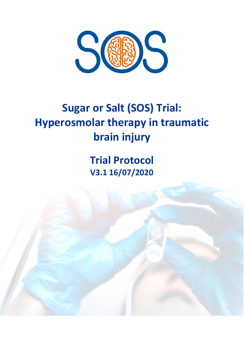

# **Sugar or Salt (SOS) Trial: Hyperosmolar therapy in traumatic brain injury**

**Trial Protocol V3.1 16/07/2020**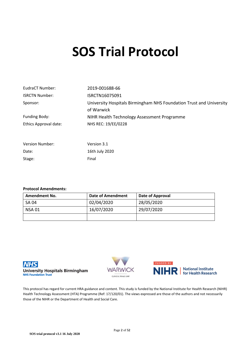# **SOS Trial Protocol**

| EudraCT Number:        | 2019-001688-66                                                                    |
|------------------------|-----------------------------------------------------------------------------------|
| <b>ISRCTN Number:</b>  | ISRCTN16075091                                                                    |
| Sponsor:               | University Hospitals Birmingham NHS Foundation Trust and University<br>of Warwick |
| Funding Body:          | NIHR Health Technology Assessment Programme                                       |
| Ethics Approval date:  | NHS REC: 19/EE/0228                                                               |
| <b>Version Number:</b> | Version 3.1                                                                       |

#### **Protocol Amendments:**

Date: 16th July 2020

Stage: Final

| <b>Amendment No.</b> | <b>Date of Amendment</b> | Date of Approval |
|----------------------|--------------------------|------------------|
| <b>SA 04</b>         | 02/04/2020               | 28/05/2020       |
| <b>NSA 01</b>        | 16/07/2020               | 29/07/2020       |
|                      |                          |                  |







This protocol has regard for current HRA guidance and content. This study is funded by the National Institute for Health Research (NIHR) Health Technology Assessment (HTA) Programme (Ref: 17/120/01). The views expressed are those of the authors and not necessarily those of the NIHR or the Department of Health and Social Care.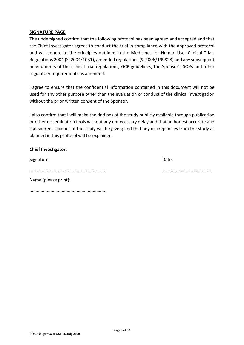#### **SIGNATURE PAGE**

The undersigned confirm that the following protocol has been agreed and accepted and that the Chief Investigator agrees to conduct the trial in compliance with the approved protocol and will adhere to the principles outlined in the Medicines for Human Use (Clinical Trials Regulations 2004 (SI 2004/1031), amended regulations (SI 2006/199828) and any subsequent amendments of the clinical trial regulations, GCP guidelines, the Sponsor's SOPs and other regulatory requirements as amended.

I agree to ensure that the confidential information contained in this document will not be used for any other purpose other than the evaluation or conduct of the clinical investigation without the prior written consent of the Sponsor.

I also confirm that I will make the findings of the study publicly available through publication or other dissemination tools without any unnecessary delay and that an honest accurate and transparent account of the study will be given; and that any discrepancies from the study as planned in this protocol will be explained.

#### **Chief Investigator:**

Signature: Date: Date: Date: Date: Date: Date: Date: Date: Date: Date: Date: Date: Date: Date: Date: Date: Date: Date: Date: Date: Date: Date: Date: Date: Date: Date: Date: Date: Date: Date: Date: Date: Date: Date: Date: D

.............................................................. ........................................

| Name (please print): |  |
|----------------------|--|

..............................................................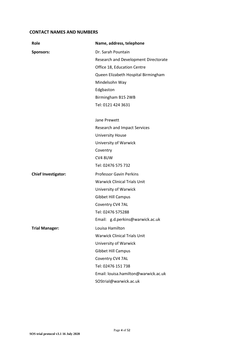#### **CONTACT NAMES AND NUMBERS**

| Role                       | Name, address, telephone             |
|----------------------------|--------------------------------------|
| <b>Sponsors:</b>           | Dr. Sarah Pountain                   |
|                            | Research and Development Directorate |
|                            | Office 18, Education Centre          |
|                            | Queen Elizabeth Hospital Birmingham  |
|                            | Mindelsohn Way                       |
|                            | Edgbaston                            |
|                            | Birmingham B15 2WB                   |
|                            | Tel: 0121 424 3631                   |
|                            | Jane Prewett                         |
|                            | <b>Research and Impact Services</b>  |
|                            | <b>University House</b>              |
|                            | University of Warwick                |
|                            | Coventry                             |
|                            | CV4 8UW                              |
|                            | Tel: 02476 575 732                   |
| <b>Chief Investigator:</b> | <b>Professor Gavin Perkins</b>       |
|                            | <b>Warwick Clinical Trials Unit</b>  |
|                            | University of Warwick                |
|                            | <b>Gibbet Hill Campus</b>            |
|                            | Coventry CV4 7AL                     |
|                            | Tel: 02476 575288                    |
|                            | Email: g.d.perkins@warwick.ac.uk     |
| <b>Trial Manager:</b>      | Louisa Hamilton                      |
|                            | <b>Warwick Clinical Trials Unit</b>  |
|                            | University of Warwick                |
|                            | <b>Gibbet Hill Campus</b>            |
|                            | Coventry CV4 7AL                     |
|                            | Tel: 02476 151 738                   |
|                            | Email: louisa.hamilton@warwick.ac.uk |
|                            | SOStrial@warwick.ac.uk               |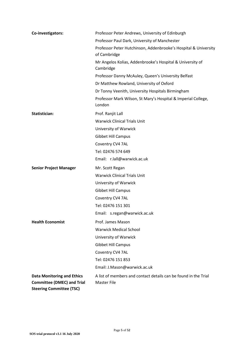| Co-investigators:                                                                                         | Professor Peter Andrews, University of Edinburgh                                      |
|-----------------------------------------------------------------------------------------------------------|---------------------------------------------------------------------------------------|
|                                                                                                           | Professor Paul Dark, University of Manchester                                         |
|                                                                                                           | Professor Peter Hutchinson, Addenbrooke's Hospital & University<br>of Cambridge       |
|                                                                                                           | Mr Angelos Kolias, Addenbrooke's Hospital & University of<br>Cambridge                |
|                                                                                                           | Professor Danny McAuley, Queen's University Belfast                                   |
|                                                                                                           | Dr Matthew Rowland, University of Oxford                                              |
|                                                                                                           | Dr Tonny Veenith, University Hospitals Birmingham                                     |
|                                                                                                           | Professor Mark Wilson, St Mary's Hospital & Imperial College,<br>London               |
| <b>Statistician:</b>                                                                                      | Prof. Ranjit Lall                                                                     |
|                                                                                                           | <b>Warwick Clinical Trials Unit</b>                                                   |
|                                                                                                           | University of Warwick                                                                 |
|                                                                                                           | <b>Gibbet Hill Campus</b>                                                             |
|                                                                                                           | Coventry CV4 7AL                                                                      |
|                                                                                                           | Tel: 02476 574 649                                                                    |
|                                                                                                           | Email: r.lall@warwick.ac.uk                                                           |
| <b>Senior Project Manager</b>                                                                             | Mr. Scott Regan                                                                       |
|                                                                                                           | <b>Warwick Clinical Trials Unit</b>                                                   |
|                                                                                                           | University of Warwick                                                                 |
|                                                                                                           | <b>Gibbet Hill Campus</b>                                                             |
|                                                                                                           | Coventry CV4 7AL                                                                      |
|                                                                                                           | Tel: 02476 151 301                                                                    |
|                                                                                                           | Email: s.regan@warwick.ac.uk                                                          |
| <b>Health Economist</b>                                                                                   | Prof. James Mason                                                                     |
|                                                                                                           | <b>Warwick Medical School</b>                                                         |
|                                                                                                           | University of Warwick                                                                 |
|                                                                                                           | <b>Gibbet Hill Campus</b>                                                             |
|                                                                                                           | Coventry CV4 7AL                                                                      |
|                                                                                                           | Tel: 02476 151 853                                                                    |
|                                                                                                           | Email: J.Mason@warwick.ac.uk                                                          |
| <b>Data Monitoring and Ethics</b><br><b>Committee (DMEC) and Trial</b><br><b>Steering Committee (TSC)</b> | A list of members and contact details can be found in the Trial<br><b>Master File</b> |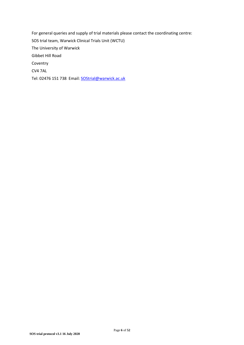For general queries and supply of trial materials please contact the coordinating centre: SOS trial team, Warwick Clinical Trials Unit (WCTU) The University of Warwick Gibbet Hill Road Coventry CV4 7AL

Tel: 02476 151 738 Email: **SOStrial@warwick.ac.uk**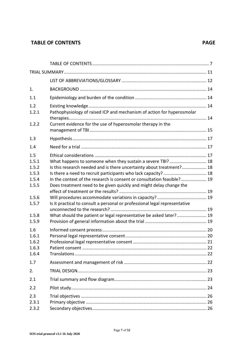# **TABLE OF CONTENTS** PAGE

| 1.                                               |                                                                                                                                                                                                                                                                                                                                                       |  |
|--------------------------------------------------|-------------------------------------------------------------------------------------------------------------------------------------------------------------------------------------------------------------------------------------------------------------------------------------------------------------------------------------------------------|--|
| 1.1                                              |                                                                                                                                                                                                                                                                                                                                                       |  |
| 1.2<br>1.2.1                                     | Pathophysiology of raised ICP and mechanism of action for hyperosmolar                                                                                                                                                                                                                                                                                |  |
| 1.2.2                                            | Current evidence for the use of hyperosmolar therapy in the                                                                                                                                                                                                                                                                                           |  |
| 1.3                                              |                                                                                                                                                                                                                                                                                                                                                       |  |
| 1.4                                              |                                                                                                                                                                                                                                                                                                                                                       |  |
| 1.5<br>1.5.1<br>1.5.2<br>1.5.3<br>1.5.4<br>1.5.5 | What happens to someone when they sustain a severe TBI?  18<br>Is this research needed and is there uncertainty about treatment? 18<br>Is there a need to recruit participants who lack capacity?  18<br>In the context of the research is consent or consultation feasible? 19<br>Does treatment need to be given quickly and might delay change the |  |
| 1.5.6<br>1.5.7<br>1.5.8<br>1.5.9                 | Is it practical to consult a personal or professional legal representative<br>What should the patient or legal representative be asked later? 19                                                                                                                                                                                                      |  |
| 1.6<br>1.6.1<br>1.6.2<br>1.6.3<br>1.6.4          |                                                                                                                                                                                                                                                                                                                                                       |  |
| 1.7                                              |                                                                                                                                                                                                                                                                                                                                                       |  |
| 2.                                               |                                                                                                                                                                                                                                                                                                                                                       |  |
| 2.1                                              |                                                                                                                                                                                                                                                                                                                                                       |  |
| 2.2                                              |                                                                                                                                                                                                                                                                                                                                                       |  |
| 2.3<br>2.3.1<br>2.3.2                            |                                                                                                                                                                                                                                                                                                                                                       |  |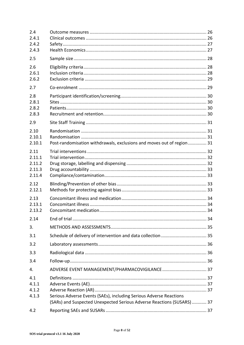| 2.4<br>2.4.1<br>2.4.2<br>2.4.3               |                                                                                                                                             |  |
|----------------------------------------------|---------------------------------------------------------------------------------------------------------------------------------------------|--|
| 2.5                                          |                                                                                                                                             |  |
| 2.6<br>2.6.1<br>2.6.2                        |                                                                                                                                             |  |
| 2.7                                          |                                                                                                                                             |  |
| 2.8<br>2.8.1<br>2.8.2<br>2.8.3               |                                                                                                                                             |  |
| 2.9                                          |                                                                                                                                             |  |
| 2.10<br>2.10.1<br>2.10.1                     | Post-randomisation withdrawals, exclusions and moves out of region  31                                                                      |  |
| 2.11<br>2.11.1<br>2.11.2<br>2.11.3<br>2.11.4 |                                                                                                                                             |  |
| 2.12<br>2.12.1                               |                                                                                                                                             |  |
| 2.13<br>2.13.1<br>2.13.2                     |                                                                                                                                             |  |
| 2.14                                         |                                                                                                                                             |  |
| 3.                                           |                                                                                                                                             |  |
| 3.1                                          |                                                                                                                                             |  |
| 3.2                                          |                                                                                                                                             |  |
| 3.3                                          |                                                                                                                                             |  |
| 3.4                                          |                                                                                                                                             |  |
| 4.                                           |                                                                                                                                             |  |
| 4.1<br>4.1.1<br>4.1.2<br>4.1.3               | Serious Adverse Events (SAEs), including Serious Adverse Reactions<br>(SARs) and Suspected Unexpected Serious Adverse Reactions (SUSARS) 37 |  |
| 4.2                                          |                                                                                                                                             |  |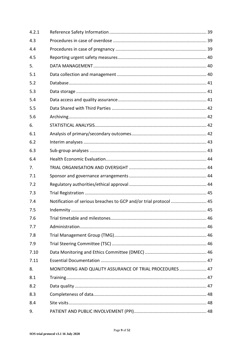| 4.2.1 |                                                                   |  |
|-------|-------------------------------------------------------------------|--|
| 4.3   |                                                                   |  |
| 4.4   |                                                                   |  |
| 4.5   |                                                                   |  |
| 5.    |                                                                   |  |
| 5.1   |                                                                   |  |
| 5.2   |                                                                   |  |
| 5.3   |                                                                   |  |
| 5.4   |                                                                   |  |
| 5.5   |                                                                   |  |
| 5.6   |                                                                   |  |
| 6.    |                                                                   |  |
| 6.1   |                                                                   |  |
| 6.2   |                                                                   |  |
| 6.3   |                                                                   |  |
| 6.4   |                                                                   |  |
| 7.    |                                                                   |  |
| 7.1   |                                                                   |  |
| 7.2   |                                                                   |  |
| 7.3   |                                                                   |  |
| 7.4   | Notification of serious breaches to GCP and/or trial protocol  45 |  |
| 7.5   |                                                                   |  |
| 7.6   |                                                                   |  |
| 7.7   |                                                                   |  |
| 7.8   |                                                                   |  |
| 7.9   |                                                                   |  |
| 7.10  |                                                                   |  |
| 7.11  |                                                                   |  |
| 8.    | MONITORING AND QUALITY ASSURANCE OF TRIAL PROCEDURES  47          |  |
| 8.1   |                                                                   |  |
| 8.2   |                                                                   |  |
| 8.3   |                                                                   |  |
| 8.4   |                                                                   |  |
| 9.    |                                                                   |  |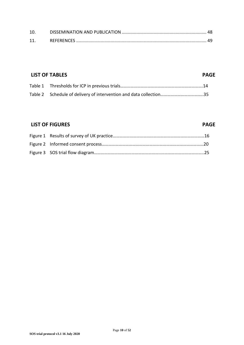| 10. |  |
|-----|--|
|     |  |

# **LIST OF TABLES** PAGE

# **LIST OF FIGURES** PAGE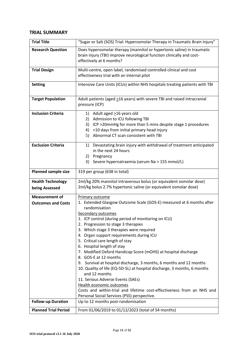#### **TRIAL SUMMARY**

| <b>Trial Title</b>                                 | "Sugar or Salt (SOS) Trial: Hyperosmolar Therapy in Traumatic Brain Injury"                                                                                                                                                                                                                                                                                                                                                                                                                                                                                                                                                                                                                                                                                                                                                                           |
|----------------------------------------------------|-------------------------------------------------------------------------------------------------------------------------------------------------------------------------------------------------------------------------------------------------------------------------------------------------------------------------------------------------------------------------------------------------------------------------------------------------------------------------------------------------------------------------------------------------------------------------------------------------------------------------------------------------------------------------------------------------------------------------------------------------------------------------------------------------------------------------------------------------------|
| <b>Research Question</b>                           | Does hyperosmolar therapy (mannitol or hypertonic saline) in traumatic<br>brain injury (TBI) improve neurological function clinically and cost-<br>effectively at 6 months?                                                                                                                                                                                                                                                                                                                                                                                                                                                                                                                                                                                                                                                                           |
| <b>Trial Design</b>                                | Multi-centre, open label, randomised controlled clinical and cost<br>effectiveness trial with an internal pilot                                                                                                                                                                                                                                                                                                                                                                                                                                                                                                                                                                                                                                                                                                                                       |
| <b>Setting</b>                                     | Intensive Care Units (ICUs) within NHS hospitals treating patients with TBI                                                                                                                                                                                                                                                                                                                                                                                                                                                                                                                                                                                                                                                                                                                                                                           |
| <b>Target Population</b>                           | Adult patients (aged >16 years) with severe TBI and raised intracranial<br>pressure (ICP)                                                                                                                                                                                                                                                                                                                                                                                                                                                                                                                                                                                                                                                                                                                                                             |
| <b>Inclusion Criteria</b>                          | 1)<br>Adult aged >16 years old<br>Admission to ICU following TBI<br>2)<br>ICP >20mmHg for more than 5 mins despite stage 1 procedures<br>3)<br><10 days from initial primary head injury<br>4)<br>Abnormal CT scan consistent with TBI<br>5)                                                                                                                                                                                                                                                                                                                                                                                                                                                                                                                                                                                                          |
| <b>Exclusion Criteria</b>                          | Devastating brain injury with withdrawal of treatment anticipated<br>1)<br>in the next 24 hours<br>2) Pregnancy<br>Severe hypernatraemia (serum Na > 155 mmol/L)<br>3)                                                                                                                                                                                                                                                                                                                                                                                                                                                                                                                                                                                                                                                                                |
| <b>Planned sample size</b>                         | 319 per group (638 in total)                                                                                                                                                                                                                                                                                                                                                                                                                                                                                                                                                                                                                                                                                                                                                                                                                          |
| <b>Health Technology</b><br>being Assessed         | 2ml/kg 20% mannitol intravenous bolus (or equivalent osmolar dose)<br>2ml/kg bolus 2.7% hypertonic saline (or equivalent osmolar dose)                                                                                                                                                                                                                                                                                                                                                                                                                                                                                                                                                                                                                                                                                                                |
| <b>Measurement of</b><br><b>Outcomes and Costs</b> | Primary outcome<br>1. Extended Glasgow Outcome Scale (GOS-E) measured at 6 months after<br>randomisation<br><b>Secondary outcomes</b><br>1. ICP control (during period of monitoring on ICU)<br>2. Progression to stage 3 therapies<br>3. Which stage 3 therapies were required<br>4. Organ support requirements during ICU<br>5. Critical care length of stay<br>6. Hospital length of stay<br>7. Modified Oxford Handicap Score (mOHS) at hospital discharge<br>8. GOS-E at 12 months<br>9. Survival at hospital discharge, 3 months, 6 months and 12 months<br>10. Quality of life (EQ-5D-5L) at hospital discharge, 3 months, 6 months<br>and 12 months<br>11. Serious Adverse Events (SAEs)<br>Health economic outcomes<br>Costs and within-trial and lifetime cost-effectiveness from an NHS and<br>Personal Social Services (PSS) perspective. |
| <b>Follow-up Duration</b>                          | Up to 12 months post-randomisation                                                                                                                                                                                                                                                                                                                                                                                                                                                                                                                                                                                                                                                                                                                                                                                                                    |
| <b>Planned Trial Period</b>                        | From 01/06/2019 to 01/12/2023 (total of 54 months)                                                                                                                                                                                                                                                                                                                                                                                                                                                                                                                                                                                                                                                                                                                                                                                                    |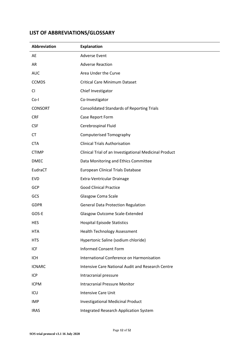# **LIST OF ABBREVIATIONS/GLOSSARY**

| <b>Abbreviation</b> | <b>Explanation</b>                                       |
|---------------------|----------------------------------------------------------|
| AE                  | <b>Adverse Event</b>                                     |
| AR                  | <b>Adverse Reaction</b>                                  |
| <b>AUC</b>          | Area Under the Curve                                     |
| <b>CCMDS</b>        | <b>Critical Care Minimum Dataset</b>                     |
| <b>CI</b>           | Chief Investigator                                       |
| $Co-I$              | Co-Investigator                                          |
| <b>CONSORT</b>      | <b>Consolidated Standards of Reporting Trials</b>        |
| <b>CRF</b>          | Case Report Form                                         |
| <b>CSF</b>          | Cerebrospinal Fluid                                      |
| <b>CT</b>           | <b>Computerised Tomography</b>                           |
| <b>CTA</b>          | <b>Clinical Trials Authorisation</b>                     |
| <b>CTIMP</b>        | Clinical Trial of an Investigational Medicinal Product   |
| <b>DMEC</b>         | Data Monitoring and Ethics Committee                     |
| EudraCT             | <b>European Clinical Trials Database</b>                 |
| <b>EVD</b>          | Extra-Ventricular Drainage                               |
| <b>GCP</b>          | <b>Good Clinical Practice</b>                            |
| GCS                 | Glasgow Coma Scale                                       |
| <b>GDPR</b>         | <b>General Data Protection Regulation</b>                |
| GOS-E               | <b>Glasgow Outcome Scale-Extended</b>                    |
| <b>HES</b>          | <b>Hospital Episode Statistics</b>                       |
| <b>HTA</b>          | <b>Health Technology Assessment</b>                      |
| <b>HTS</b>          | Hypertonic Saline (sodium chloride)                      |
| ICF                 | <b>Informed Consent Form</b>                             |
| <b>ICH</b>          | International Conference on Harmonisation                |
| <b>ICNARC</b>       | <b>Intensive Care National Audit and Research Centre</b> |
| <b>ICP</b>          | Intracranial pressure                                    |
| <b>ICPM</b>         | <b>Intracranial Pressure Monitor</b>                     |
| ICU                 | Intensive Care Unit                                      |
| <b>IMP</b>          | <b>Investigational Medicinal Product</b>                 |
| <b>IRAS</b>         | <b>Integrated Research Application System</b>            |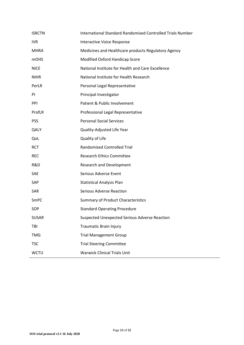| <b>ISRCTN</b> | International Standard Randomised Controlled Trials Number |
|---------------|------------------------------------------------------------|
| <b>IVR</b>    | Interactive Voice Response                                 |
| <b>MHRA</b>   | Medicines and Healthcare products Regulatory Agency        |
| <b>mOHS</b>   | Modified Oxford Handicap Score                             |
| <b>NICE</b>   | National Institute for Health and Care Excellence          |
| <b>NIHR</b>   | National Institute for Health Research                     |
| PerLR         | Personal Legal Representative                              |
| PI            | Principal Investigator                                     |
| PPI           | Patient & Public Involvement                               |
| ProfLR        | Professional Legal Representative                          |
| <b>PSS</b>    | <b>Personal Social Services</b>                            |
| QALY          | Quality-Adjusted Life Year                                 |
| QoL           | Quality of Life                                            |
| <b>RCT</b>    | <b>Randomised Controlled Trial</b>                         |
| <b>REC</b>    | <b>Research Ethics Committee</b>                           |
| R&D           | <b>Research and Development</b>                            |
| SAE           | Serious Adverse Event                                      |
| SAP           | <b>Statistical Analysis Plan</b>                           |
| SAR           | <b>Serious Adverse Reaction</b>                            |
| SmPC          | <b>Summary of Product Characteristics</b>                  |
| SOP           | <b>Standard Operating Procedure</b>                        |
| <b>SUSAR</b>  | Suspected Unexpected Serious Adverse Reaction              |
| TBI           | <b>Traumatic Brain Injury</b>                              |
| <b>TMG</b>    | <b>Trial Management Group</b>                              |
| <b>TSC</b>    | <b>Trial Steering Committee</b>                            |
| <b>WCTU</b>   | <b>Warwick Clinical Trials Unit</b>                        |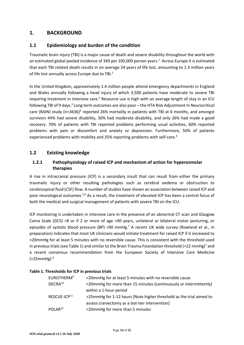# **1. BACKGROUND**

#### **1.1 Epidemiology and burden of the condition**

Traumatic brain injury (TBI) is a major cause of death and severe disability throughout the world with an estimated global pooled incidence of 349 per 100,000 person years.<sup>1</sup> Across Europe it is estimated that each TBI related death results in on average 24 years of life lost, amounting to 1.3 million years of life lost annually across Europe due to TBI.<sup>2</sup>

In the United Kingdom, approximately 1.4 million people attend emergency departments in England and Wales annually following a head injury of which 3,500 patients have moderate to severe TBI requiring treatment in intensive care.<sup>3</sup> Resource use is high with an average length of stay in an ICU following TBI of 9 days.<sup>3</sup> Long term outcomes are also poor - the HTA Risk Adjustment In Neurocritical care (RAIN) study (n=3636)<sup>4</sup> reported 26% mortality in patients with TBI at 6 months, and amongst survivors 44% had severe disability, 30% had moderate disability, and only 26% had made a good recovery. 70% of patients with TBI reported problems performing usual activities, 60% reported problems with pain or discomfort and anxiety or depression. Furthermore, 50% of patients experienced problems with mobility and 35% reporting problems with self-care.<sup>4</sup>

#### **1.2 Existing knowledge**

#### **1.2.1 Pathophysiology of raised ICP and mechanism of action for hyperosmolar therapies**

A rise in intracranial pressure (ICP) is a secondary insult that can result from either the primary traumatic injury or other resulting pathologies such as cerebral oedema or obstruction to cerebrospinal fluid (CSF) flow. A number of studies have shown an association between raised ICP and poor neurological outcomes.5,6 As a result, the treatment of elevated ICP has been a central focus of both the medical and surgical management of patients with severe TBI on the ICU.

ICP monitoring is undertaken in intensive care in the presence of an abnormal CT scan and Glasgow Coma Scale (GCS) <8 or if 2 or more of age >40 years, unilateral or bilateral motor posturing, or episodes of systolic blood pressure (BP) <90 mmHg.<sup>7</sup> A recent UK wide survey (Rowland et al., in preparation) indicates that most UK clinicians would initiate treatment for raised ICP if it increased to >20mmHg for at least 5 minutes with no reversible cause. This is consistent with the threshold used in previous trials (see Table 1) and similar to the Brain Trauma Foundation threshold (>22 mmHg)<sup>7</sup> and a recent consensus recommendation from the European Society of Intensive Care Medicine  $($ >25mmHg). $8$ 

| EUROTHERM <sup>9</sup>   | >20mmHg for at least 5 minutes with no reversible cause             |
|--------------------------|---------------------------------------------------------------------|
| DECRA <sup>10</sup>      | >20mmHg for more than 15 minutes (continuously or intermittently)   |
|                          | within a 1-hour period                                              |
| RESCUE-ICP <sup>11</sup> | >25mmHg for 1-12 hours [Note higher threshold as the trial aimed to |
|                          | assess craniectomy as a last-tier intervention]                     |
| POLAR <sup>12</sup>      | >20mmHg for more than 5 minutes                                     |
|                          |                                                                     |

#### **Table 1. Thresholds for ICP in previous trials**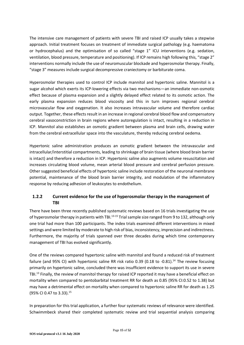The intensive care management of patients with severe TBI and raised ICP usually takes a stepwise approach. Initial treatment focuses on treatment of immediate surgical pathology (e.g. haematoma or hydrocephalus) and the optimisation of so called "stage 1" ICU interventions (e.g. sedation, ventilation, blood pressure, temperature and positioning). If ICP remains high following this, "stage 2" interventions normally include the use of neuromuscular blockade and hyperosmolar therapy. Finally, "stage 3" measures include surgical decompressive craniectomy or barbiturate coma.

Hyperosmolar therapies used to control ICP include mannitol and hypertonic saline. Mannitol is a sugar alcohol which exerts its ICP-lowering effects via two mechanisms—an immediate non-osmotic effect because of plasma expansion and a slightly delayed effect related to its osmotic action. The early plasma expansion reduces blood viscosity and this in turn improves regional cerebral microvascular flow and oxygenation. It also increases intravascular volume and therefore cardiac output. Together, these effects result in an increase in regional cerebral blood flow and compensatory cerebral vasoconstriction in brain regions where autoregulation is intact, resulting in a reduction in ICP. Mannitol also establishes an osmotic gradient between plasma and brain cells, drawing water from the cerebral extracellular space into the vasculature, thereby reducing cerebral oedema.

Hypertonic saline administration produces an osmotic gradient between the intravascular and intracellular/interstitial compartments, leading to shrinkage of brain tissue (where blood brain barrier is intact) and therefore a reduction in ICP. Hypertonic saline also augments volume resuscitation and increases circulating blood volume, mean arterial blood pressure and cerebral perfusion pressure. Other suggested beneficial effects of hypertonic saline include restoration of the neuronal membrane potential, maintenance of the blood brain barrier integrity, and modulation of the inflammatory response by reducing adhesion of leukocytes to endothelium.

# **1.2.2 Current evidence for the use of hyperosmolar therapy in the management of TBI**

There have been three recently published systematic reviews based on 16 trials investigating the use of hyperosmolar therapy in patients with TBI.<sup>13-15</sup> Trial sample size ranged from 9 to 132, although only one trial had more than 100 participants. The index trials examined different interventions in mixed settings and were limited by moderate to high risk of bias, inconsistency, imprecision and indirectness. Furthermore, the majority of trials spanned over three decades during which time contemporary management of TBI has evolved significantly.

One of the reviews compared hypertonic saline with mannitol and found a reduced risk of treatment failure (and 95% CI) with hypertonic saline RR risk ratio 0.39 (0.18 to -0.81).<sup>14</sup> The review focusing primarily on hypertonic saline, concluded there was insufficient evidence to support its use in severe TBI.<sup>13</sup> Finally, the review of mannitol therapy for raised ICP reported it may have a beneficial effect on mortality when compared to pentobarbital treatment RR for death as 0.85 (95% CI:0.52 to 1.38) but may have a detrimental effect on mortality when compared to hypertonic saline RR for death as 1.25 (95% CI 0.47 to 3.33).<sup>15</sup>

In preparation for this trial application, a further four systematic reviews of relevance were identified. Schwimmbeck shared their completed systematic review and trial sequential analysis comparing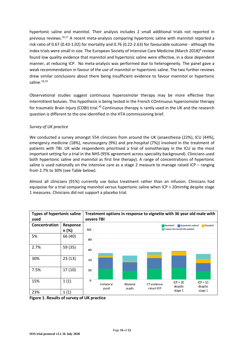hypertonic saline and mannitol. Their analysis includes 2 small additional trials not reported in previous reviews.<sup>16,17</sup> A recent meta-analysis comparing hypertonic saline with mannitol reported a risk ratio of 0.67 (0.43-1.02) for mortality and 0.76 (0.22-2.63) for favourable outcome - although the index trials were small in size. The European Society of Intensive Care Medicine (March 2018)<sup>8</sup> review found low quality evidence that mannitol and hypertonic saline were effective, in a dose dependent manner, at reducing ICP. No meta-analysis was performed due to heterogeneity. The panel gave a weak recommendation in favour of the use of mannitol or hypertonic saline. The two further reviews drew similar conclusions about there being insufficient evidence to favour mannitol or hypertonic saline. $18,19$ 

Observational studies suggest continuous hyperosmolar therapy may be more effective than intermittent boluses. This hypothesis is being tested in the French COntinuous hyperosmolar therapy for traumatic Brain Injury (COBI) trial.<sup>20</sup> Continuous therapy is rarely used in the UK and the research question is different to the one identified in the HTA commissioning brief.

#### *Survey of UK practice*

We conducted a survey amongst 554 clinicians from around the UK (anaesthesia (22%), ICU (44%), emergency medicine (18%), neurosurgery (9%) and pre-hospital (7%)) involved in the treatment of patients with TBI. UK wide respondents prioritised a trial of osmotherapy in the ICU as the most important setting for a trial in the NHS (95% agreement across speciality background). Clinicians used both hypertonic saline and mannitol as first line therapy). A range of concentrations of hypertonic saline is used nationally on the intensive care as a stage 2 measure to manage raised ICP – ranging from 2.7% to 30% (see Table below).

Almost all clinicians (91%) currently use bolus treatment rather than an infusion. Clinicians had equipoise for a trial comparing mannitol versus hypertonic saline when ICP > 20mmHg despite stage 1 measures. Clinicians did not support a placebo trial.



**Figure 1. Results of survey of UK practice**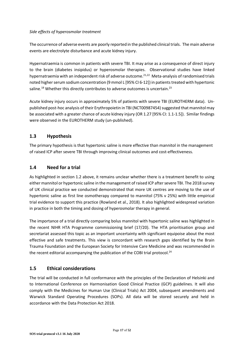#### *Side effects of hyperosmolar treatment*

The occurrence of adverse events are poorly reported in the published clinical trials. The main adverse events are electrolyte disturbance and acute kidney injury.

Hypernatraemia is common in patients with severe TBI. It may arise as a consequence of direct injury to the brain (diabetes insipidus) or hyperosmolar therapies. Observational studies have linked hypernatraemia with an independent risk of adverse outcome.21,22 Meta-analysis of randomised trials noted higher serum sodium concentration (9 mmol L [95% CI 6-12]) in patients treated with hypertonic saline.<sup>18</sup> Whether this directly contributes to adverse outcomes is uncertain.<sup>23</sup>

Acute kidney injury occurs in approximately 5% of patients with severe TBI (EUROTHERM data). Unpublished post-hoc analysis of their Erythropoietin in TBI (NCT00987454) suggested that mannitol may be associated with a greater chance of acute kidney injury (OR 1.27 [95% CI: 1.1-1.5]). Similar findings were observed in the EUROTHERM study (un-published).

#### **1.3 Hypothesis**

The primary hypothesis is that hypertonic saline is more effective than mannitol in the management of raised ICP after severe TBI through improving clinical outcomes and cost-effectiveness.

#### **1.4 Need for a trial**

As highlighted in section 1.2 above, it remains unclear whether there is a treatment benefit to using either mannitol or hypertonic saline in the management of raised ICP after severe TBI. The 2018 survey of UK clinical practice we conducted demonstrated that more UK centres are moving to the use of hypertonic saline as first line osmotherapy compared to mannitol (75% v 25%) with little empirical trial evidence to support this practice (Rowland et al., 2018). It also highlighted widespread variation in practice in both the timing and dosing of hyperosmolar therapy in general.

The importance of a trial directly comparing bolus mannitol with hypertonic saline was highlighted in the recent NIHR HTA Programme commissioning brief (17/20). The HTA prioritisation group and secretariat assessed this topic as an important uncertainty with significant equipoise about the most effective and safe treatments. This view is concordant with research gaps identified by the Brain Trauma Foundation and the European Society for Intensive Care Medicine and was recommended in the recent editorial accompanying the publication of the COBI trial protocol.<sup>24</sup>

#### **1.5 Ethical considerations**

The trial will be conducted in full conformance with the principles of the Declaration of Helsinki and to International Conference on Harmonisation Good Clinical Practice (GCP) guidelines. It will also comply with the Medicines for Human Use (Clinical Trials) Act 2004, subsequent amendments and Warwick Standard Operating Procedures (SOPs). All data will be stored securely and held in accordance with the Data Protection Act 2018.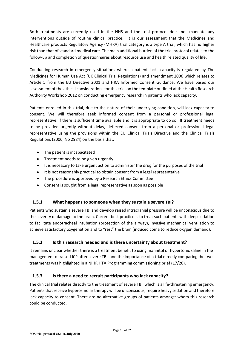Both treatments are currently used in the NHS and the trial protocol does not mandate any interventions outside of routine clinical practice. It is our assessment that the Medicines and Healthcare products Regulatory Agency (MHRA) trial category is a type A trial, which has no higher risk than that of standard medical care. The main additional burden of the trial protocol relates to the follow-up and completion of questionnaires about resource use and health related quality of life.

Conducting research in emergency situations where a patient lacks capacity is regulated by The Medicines for Human Use Act (UK Clinical Trial Regulations) and amendment 2006 which relates to Article 5 from the EU Directive 2001 and HRA Informed Consent Guidance. We have based our assessment of the ethical considerations for this trial on the template outlined at the Health Research Authority Workshop 2012 on conducting emergency research in patients who lack capacity.

Patients enrolled in this trial, due to the nature of their underlying condition, will lack capacity to consent. We will therefore seek informed consent from a personal or professional legal representative, if there is sufficient time available and it is appropriate to do so. If treatment needs to be provided urgently without delay, deferred consent from a personal or professional legal representative using the provisions within the EU Clinical Trials Directive and the Clinical Trials Regulations (2006, No 2984) on the basis that:

- The patient is incapacitated
- Treatment needs to be given urgently
- It is necessary to take urgent action to administer the drug for the purposes of the trial
- It is not reasonably practical to obtain consent from a legal representative
- The procedure is approved by a Research Ethics Committee
- Consent is sought from a legal representative as soon as possible

#### **1.5.1 What happens to someone when they sustain a severe TBI?**

Patients who sustain a severe TBI and develop raised intracranial pressure will be unconscious due to the severity of damage to the brain. Current best practice is to treat such patients with deep sedation to facilitate endotracheal intubation (protection of the airway), invasive mechanical ventilation to achieve satisfactory oxygenation and to "rest" the brain (induced coma to reduce oxygen demand).

#### **1.5.2 Is this research needed and is there uncertainty about treatment?**

It remains unclear whether there is a treatment benefit to using mannitol or hypertonic saline in the management of raised ICP after severe TBI, and the importance of a trial directly comparing the two treatments was highlighted in a NIHR HTA Programming commissioning brief (17/20).

#### **1.5.3 Is there a need to recruit participants who lack capacity?**

The clinical trial relates directly to the treatment of severe TBI, which is a life-threatening emergency. Patients that receive hyperosmolar therapy will be unconscious, require heavy sedation and therefore lack capacity to consent. There are no alternative groups of patients amongst whom this research could be conducted.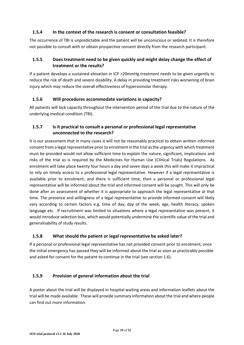#### **1.5.4 In the context of the research is consent or consultation feasible?**

The occurrence of TBI is unpredictable and the patient will be unconscious or sedated. It is therefore not possible to consult with or obtain prospective consent directly from the research participant.

### **1.5.5 Does treatment need to be given quickly and might delay change the effect of treatment or the results?**

If a patient develops a sustained elevation in ICP >20mmHg treatment needs to be given urgently to reduce the risk of death and severe disability. A delay in providing treatment risks worsening of brain injury which may reduce the overall effectiveness of hyperosmolar therapy.

#### **1.5.6 Will procedures accommodate variations in capacity?**

All patients will lack capacity throughout the intervention period of the trial due to the nature of the underlying medical condition (TBI).

#### **1.5.7 Is it practical to consult a personal or professional legal representative unconnected to the research?**

It is our assessment that in many cases it will not be reasonably practical to obtain written informed consent from a legal representative prior to enrolment in the trial as the urgency with which treatment must be provided would not allow sufficient time to explain the nature, significant, implications and risks of the trial as is required by the Medicines for Human Use (Clinical Trials) Regulations. As enrolment will take place twenty four hours a day and seven days a week this will make it impractical to rely on timely access to a professional legal representative. However if a legal representative is available prior to enrolment, and there is sufficient time, then a personal or professional legal representative will be informed about the trial and informed consent will be sought. This will only be done after an assessment of whether it is appropriate to approach the legal representative at that time. The presence and willingness of a legal representative to provide informed consent will likely vary according to certain factors e.g. time of day, day of the week, age, health literacy, spoken language etc. If recruitment was limited to situations where a legal representative was present, it would introduce selection bias, which would potentially undermine the scientific value of the trial and generalisability of study results.

#### **1.5.8 What should the patient or legal representative be asked later?**

If a personal or professional legal representative has not provided consent prior to enrolment, once the initial emergency has passed they will be informed about the trial as soon as practicably possible and asked for consent for the patient to continue in the trial (see section 1.6).

#### **1.5.9 Provision of general information about the trial**

A poster about the trial will be displayed in hospital waiting areas and information leaflets about the trial will be made available. These will provide summary information about the trial and where people can find out more information.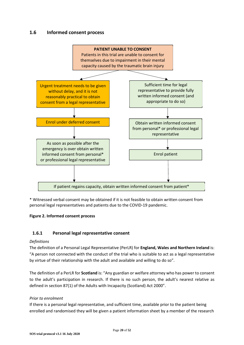#### **1.6 Informed consent process**



\* Witnessed verbal consent may be obtained if it is not feasible to obtain written consent from personal legal representatives and patients due to the COVID-19 pandemic.

#### **Figure 2. Informed consent process**

#### **1.6.1 Personal legal representative consent**

#### *Definitions*

The definition of a Personal Legal Representative (PerLR) for **England, Wales and Northern Ireland** is: "A person not connected with the conduct of the trial who is suitable to act as a legal representative by virtue of their relationship with the adult and available and willing to do so".

The definition of a PerLR for **Scotland** is: "Any guardian or welfare attorney who has power to consent to the adult's participation in research. If there is no such person, the adult's nearest relative as defined in section 87(1) of the Adults with Incapacity (Scotland) Act 2000".

#### *Prior to enrolment*

If there is a personal legal representative, and sufficient time, available prior to the patient being enrolled and randomised they will be given a patient information sheet by a member of the research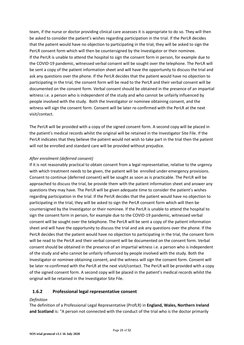team, if the nurse or doctor providing clinical care assesses it is appropriate to do so. They will then be asked to consider the patient's wishes regarding participation in the trial. If the PerLR decides that the patient would have no objection to participating in the trial, they will be asked to sign the PerLR consent form which will then be countersigned by the Investigator or their nominee. If the PerLR is unable to attend the hospital to sign the consent form in person, for example due to the COVID-19 pandemic, witnessed verbal consent will be sought over the telephone. The PerLR will be sent a copy of the patient information sheet and will have the opportunity to discuss the trial and ask any questions over the phone. If the PerLR decides that the patient would have no objection to participating in the trial, the consent form will be read to the PerLR and their verbal consent will be documented on the consent form. Verbal consent should be obtained in the presence of an impartial witness i.e. a person who is independent of the study and who cannot be unfairly influenced by people involved with the study. Both the Investigator or nominee obtaining consent, and the witness will sign the consent form. Consent will be later re-confirmed with the PerLR at the next visit/contact.

The PerLR will be provided with a copy of the signed consent form. A second copy will be placed in the patient's medical records whilst the original will be retained in the Investigator Site File. If the PerLR indicates that they believe the patient would not wish to take part in the trial then the patient will not be enrolled and standard care will be provided without prejudice.

#### *After enrolment (deferred consent)*

If it is not reasonably practical to obtain consent from a legal representative, relative to the urgency with which treatment needs to be given, the patient will be enrolled under emergency provisions. Consent to continue (deferred consent) will be sought as soon as is practicable. The PerLR will be approached to discuss the trial, be provide them with the patient information sheet and answer any questions they may have. The PerLR will be given adequate time to consider the patient's wishes regarding participation in the trial. If the PerLR decides that the patient would have no objection to participating in the trial, they will be asked to sign the PerLR consent form which will then be countersigned by the Investigator or their nominee. If the PerLR is unable to attend the hospital to sign the consent form in person, for example due to the COVID-19 pandemic, witnessed verbal consent will be sought over the telephone. The PerLR will be sent a copy of the patient information sheet and will have the opportunity to discuss the trial and ask any questions over the phone. If the PerLR decides that the patient would have no objection to participating in the trial, the consent form will be read to the PerLR and their verbal consent will be documented on the consent form. Verbal consent should be obtained in the presence of an impartial witness i.e. a person who is independent of the study and who cannot be unfairly influenced by people involved with the study. Both the Investigator or nominee obtaining consent, and the witness will sign the consent form. Consent will be later re-confirmed with the PerLR at the next visit/contact. The PerLR will be provided with a copy of the signed consent form. A second copy will be placed in the patient's medical records whilst the original will be retained in the Investigator Site File.

#### **1.6.2 Professional legal representative consent**

#### *Definition*

The definition of a Professional Legal Representative (ProfLR) in **England, Wales, Northern Ireland and Scotland** is: "A person not connected with the conduct of the trial who is the doctor primarily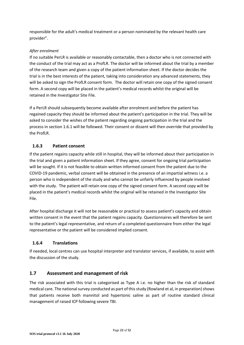responsible for the adult's medical treatment or a person nominated by the relevant health care provider".

#### *After enrolment*

If no suitable PerLR is available or reasonably contactable, then a doctor who is not connected with the conduct of the trial may act as a ProfLR. The doctor will be informed about the trial by a member of the research team and given a copy of the patient information sheet. If the doctor decides the trial is in the best interests of the patient, taking into consideration any advanced statements, they will be asked to sign the ProfLR consent form. The doctor will retain one copy of the signed consent form. A second copy will be placed in the patient's medical records whilst the original will be retained in the Investigator Site File.

If a PerLR should subsequently become available after enrolment and before the patient has regained capacity they should be informed about the patient's participation in the trial. They will be asked to consider the wishes of the patient regarding ongoing participation in the trial and the process in section 1.6.1 will be followed. Their consent or dissent will then override that provided by the ProfLR.

#### **1.6.3 Patient consent**

If the patient regains capacity while still in hospital, they will be informed about their participation in the trial and given a patient information sheet. If they agree, consent for ongoing trial participation will be sought. If it is not feasible to obtain written informed consent from the patient due to the COVID-19 pandemic, verbal consent will be obtained in the presence of an impartial witness i.e. a person who is independent of the study and who cannot be unfairly influenced by people involved with the study. The patient will retain one copy of the signed consent form. A second copy will be placed in the patient's medical records whilst the original will be retained in the Investigator Site File.

After hospital discharge it will not be reasonable or practical to assess patient's capacity and obtain written consent in the event that the patient regains capacity. Questionnaires will therefore be sent to the patient's legal representative, and return of a completed questionnaire from either the legal representative or the patient will be considered implied consent.

#### **1.6.4 Translations**

If needed, local centres can use hospital interpreter and translator services, if available, to assist with the discussion of the study.

#### **1.7 Assessment and management of risk**

The risk associated with this trial is categorised as Type A i.e. no higher than the risk of standard medical care. The national survey conducted as part of this study (Rowland et al, in preparation) shows that patients receive both mannitol and hypertonic saline as part of routine standard clinical management of raised ICP following severe TBI.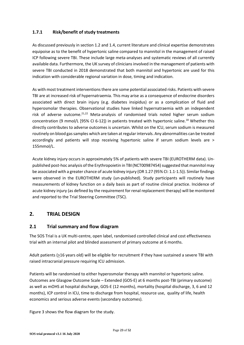#### **1.7.1 Risk/benefit of study treatments**

As discussed previously in section 1.2 and 1.4, current literature and clinical expertise demonstrates equipoise as to the benefit of hypertonic saline compared to mannitol in the management of raised ICP following severe TBI. These include large meta-analyses and systematic reviews of all currently available data. Furthermore, the UK survey of clinicians involved in the management of patients with severe TBI conducted in 2018 demonstrated that both mannitol and hypertonic are used for this indication with considerable regional variation in dose, timing and indication.

As with most treatment interventions there are some potential associated risks. Patients with severe TBI are at increased risk of hypernatraemia. This may arise as a consequence of endocrine disorders associated with direct brain injury (e.g. diabetes insipidus) or as a complication of fluid and hyperosmolar therapies. Observational studies have linked hypernatraemia with an independent risk of adverse outcome.<sup>21,22</sup> Meta-analysis of randomised trials noted higher serum sodium concentration (9 mmol/L [95% CI 6-12]) in patients treated with hypertonic saline.<sup>18</sup> Whether this directly contributes to adverse outcomes is uncertain. Whilst on the ICU, serum sodium is measured routinely on blood gas samples which are taken at regular intervals. Any abnormalities can be treated accordingly and patients will stop receiving hypertonic saline if serum sodium levels are > 155mmol/L.

Acute kidney injury occurs in approximately 5% of patients with severe TBI (EUROTHERM data). Unpublished post-hoc analysis of the Erythropoietin in TBI (NCT00987454) suggested that mannitol may be associated with a greater chance of acute kidney injury (OR 1.27 (95% CI: 1.1-1.5)). Similar findings were observed in the EUROTHERM study (un-published). Study participants will routinely have measurements of kidney function on a daily basis as part of routine clinical practice. Incidence of acute kidney injury (as defined by the requirement for renal replacement therapy) will be monitored and reported to the Trial Steering Committee (TSC).

# **2. TRIAL DESIGN**

#### **2.1 Trial summary and flow diagram**

The SOS Trial is a UK multi-centre, open label, randomised controlled clinical and cost effectiveness trial with an internal pilot and blinded assessment of primary outcome at 6 months.

Adult patients (>16 years old) will be eligible for recruitment if they have sustained a severe TBI with raised intracranial pressure requiring ICU admission.

Patients will be randomised to either hyperosmolar therapy with mannitol or hypertonic saline. Outcomes are Glasgow Outcome Scale – Extended (GOS-E) at 6 months post-TBI (primary outcome) as well as mOHS at hospital discharge, GOS-E (12 months), mortality (hospital discharge, 3, 6 and 12 months), ICP control in ICU, time to discharge from hospital, resource use, quality of life, health economics and serious adverse events (secondary outcomes).

Figure 3 shows the flow diagram for the study.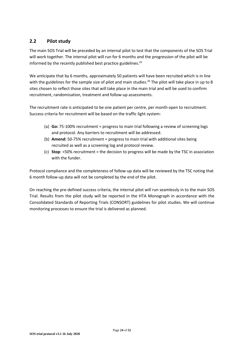## **2.2 Pilot study**

The main SOS Trial will be preceded by an internal pilot to test that the components of the SOS Trial will work together. The internal pilot will run for 6 months and the progression of the pilot will be informed by the recently published best practice guidelines.<sup>25</sup>

We anticipate that by 6 months, approximately 50 patients will have been recruited which is in line with the guidelines for the sample size of pilot and main studies.<sup>26</sup> The pilot will take place in up to 8 sites chosen to reflect those sites that will take place in the main trial and will be used to confirm recruitment, randomisation, treatment and follow-up assessments.

The recruitment rate is anticipated to be one patient per centre, per month open to recruitment. Success criteria for recruitment will be based on the traffic light system:

- (a) **Go:** 75-100% recruitment = progress to main trial following a review of screening logs and protocol. Any barriers to recruitment will be addressed.
- (b) **Amend:** 50-75% recruitment = progress to main trial with additional sites being recruited as well as a screening log and protocol review.
- (c) **Stop**: <50% recruitment = the decision to progress will be made by the TSC in association with the funder.

Protocol compliance and the completeness of follow-up data will be reviewed by the TSC noting that 6 month follow-up data will not be completed by the end of the pilot.

On reaching the pre-defined success criteria, the internal pilot will run seamlessly in to the main SOS Trial. Results from the pilot study will be reported in the HTA Monograph in accordance with the Consolidated Standards of Reporting Trials (CONSORT) guidelines for pilot studies. We will continue monitoring processes to ensure the trial is delivered as planned.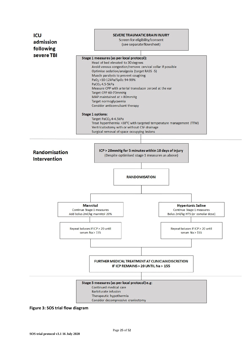

**Figure 3: SOS trial flow diagram**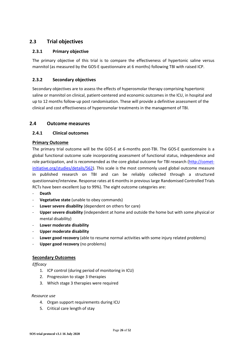# **2.3 Trial objectives**

#### **2.3.1 Primary objective**

The primary objective of this trial is to compare the effectiveness of hypertonic saline versus mannitol (as measured by the GOS-E questionnaire at 6 months) following TBI with raised ICP.

#### **2.3.2 Secondary objectives**

Secondary objectives are to assess the effects of hyperosmolar therapy comprising hypertonic saline or mannitol on clinical, patient-centered and economic outcomes in the ICU, in hospital and up to 12 months follow-up post randomisation. These will provide a definitive assessment of the clinical and cost effectiveness of hyperosmolar treatments in the management of TBI.

#### **2.4 Outcome measures**

#### **2.4.1 Clinical outcomes**

#### **Primary Outcome**

The primary trial outcome will be the GOS-E at 6-months post-TBI. The GOS-E questionnaire is a global functional outcome scale incorporating assessment of functional status, independence and role participation, and is recommended as the core global outcome for TBI research (http://cometinitiative.org/studies/details/562). This scale is the most commonly used global outcome measure in published research on TBI and can be reliably collected through a structured questionnaire/interview. Response rates at 6 months in previous large Randomised Controlled Trials RCTs have been excellent (up to 99%). The eight outcome categories are:

- **Death**
- **Vegetative state** (unable to obey commands)
- Lower severe disability (dependent on others for care)
- **Upper severe disability** (independent at home and outside the home but with some physical or mental disability)
- **Lower moderate disability**
- **Upper moderate disability**
- Lower good recovery (able to resume normal activities with some injury related problems)
- **Upper good recovery** (no problems)

#### **Secondary Outcomes**

*Efficacy* 

- 1. ICP control (during period of monitoring in ICU)
- 2. Progression to stage 3 therapies
- 3. Which stage 3 therapies were required

#### *Resource use*

- 4. Organ support requirements during ICU
- 5. Critical care length of stay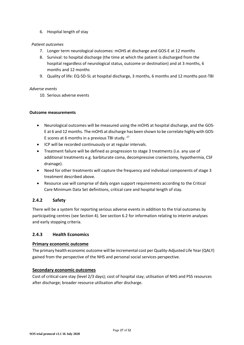#### 6. Hospital length of stay

#### *Patient outcomes*

- 7. Longer term neurological outcomes: mOHS at discharge and GOS-E at 12 months
- 8. Survival: to hospital discharge (the time at which the patient is discharged from the hospital regardless of neurological status, outcome or destination) and at 3 months, 6 months and 12 months
- 9. Quality of life: EQ-5D-5L at hospital discharge, 3 months, 6 months and 12 months post-TBI

#### *Adverse events*

10. Serious adverse events

#### **Outcome measurements**

- Neurological outcomes will be measured using the mOHS at hospital discharge, and the GOS-E at 6 and 12 months. The mOHS at discharge has been shown to be correlate highly with GOS-E scores at 6 months in a previous TBI study.  $27$
- ICP will be recorded continuously or at regular intervals.
- Treatment failure will be defined as progression to stage 3 treatments (i.e. any use of additional treatments e.g. barbiturate coma, decompressive craniectomy, hypothermia, CSF drainage).
- Need for other treatments will capture the frequency and individual components of stage 3 treatment described above.
- Resource use will comprise of daily organ support requirements according to the Critical Care Minimum Data Set definitions, critical care and hospital length of stay.

#### **2.4.2 Safety**

There will be a system for reporting serious adverse events in addition to the trial outcomes by participating centres (see Section 4). See section 6.2 for information relating to interim analyses and early stopping criteria.

#### **2.4.3 Health Economics**

#### **Primary economic outcome**

The primary health economic outcome will be incremental cost per Quality-Adjusted Life Year (QALY) gained from the perspective of the NHS and personal social services perspective.

#### **Secondary economic outcomes**

Cost of critical care stay (level 2/3 days); cost of hospital stay; utilisation of NHS and PSS resources after discharge; broader resource utilisation after discharge.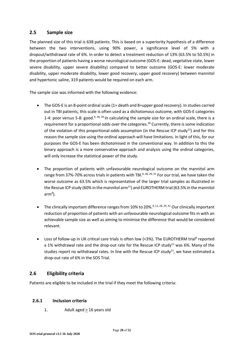## **2.5 Sample size**

The planned size of this trial is 638 patients. This is based on a superiority hypothesis of a difference between the two interventions, using 90% power, a significance level of 5% with a dropout/withdrawal rate of 6%. In order to detect a treatment reduction of 13% (63.5% to 50.5%) in the proportion of patients having a worse neurological outcome (GOS-E: dead, vegetative state, lower severe disability, upper severe disability) compared to better outcome (GOS-E: lower moderate disability, upper moderate disability, lower good recovery, upper good recovery) between mannitol and hypertonic saline, 319 patients would be required on each arm.

The sample size was informed with the following evidence:

- The GOS-E is an 8-point ordinal scale (1= death and 8=upper good recovery). In studies carried out in TBI patients, this scale is often used as a dichotomous outcome, with GOS-E categories 1-4: poor versus 5-8: good.<sup>9, 28, 29</sup> In calculating the sample size for an ordinal scale, there is a requirement for a proportional odds over the categories.<sup>30</sup> Currently, there is some indication of the violation of this proportional odds assumption (in the Rescue ICP study<sup>11</sup>) and for this reason the sample size using the ordinal approach will have limitations. In light of this, for our purposes the GOS-E has been dichotomised in the conventional way. In addition to this the binary approach is a more conservative approach and analysis using the ordinal categories, will only increase the statistical power of the study.
- The proportion of patients with unfavourable neurological outcome on the mannitol arm range from 37%-70% across trials in patients with TBI.<sup>9, 28, 29, 31</sup> For our trial, we have taken the worse outcome as 63.5% which is representative of the larger trial samples as illustrated in the Rescue ICP study (60% in the mannitol arm<sup>11</sup>) and EUROTHERM trial (63.5% in the mannitol arm<sup>9</sup>).
- The clinically important difference ranges from 10% to 20%.<sup>9, 11, 28, 29, 31</sup> Our clinically important reduction of proportion of patients with an unfavourable neurological outcome fits in with an achievable sample size as well as aiming to minimise the difference that would be considered relevant.
- Loss of follow-up in UK critical care trials is often low (<3%). The EUROTHERM trial<sup>9</sup> reported a 1% withdrawal rate and the drop-out rate for the Rescue ICP study<sup>11</sup> was 6%. Many of the studies report no withdrawal rates. In line with the Rescue ICP study<sup>11</sup>, we have estimated a drop-out rate of 6% in the SOS Trial.

#### **2.6 Eligibility criteria**

Patients are eligible to be included in the trial if they meet the following criteria:

#### **2.6.1 Inclusion criteria**

1. Adult aged > 16 years old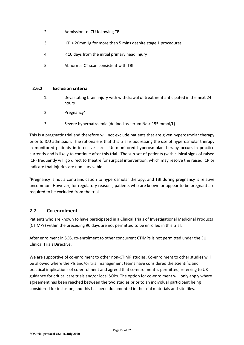- 2. Admission to ICU following TBI
- 3. ICP > 20mmHg for more than 5 mins despite stage 1 procedures
- 4. < 10 days from the initial primary head injury
- 5. Abnormal CT scan consistent with TBI

#### **2.6.2 Exclusion criteria**

- 1. Devastating brain injury with withdrawal of treatment anticipated in the next 24 hours
- 2. Pregnancy<sup>¥</sup>
- 3. Severe hypernatraemia (defined as serum Na > 155 mmol/L)

This is a pragmatic trial and therefore will not exclude patients that are given hyperosmolar therapy prior to ICU admission. The rationale is that this trial is addressing the use of hyperosmolar therapy in monitored patients in intensive care. Un-monitored hyperosmolar therapy occurs in practice currently and is likely to continue after this trial. The sub-set of patients (with clinical signs of raised ICP) frequently will go direct to theatre for surgical intervention, which may resolve the raised ICP or indicate that injuries are non-survivable.

¥Pregnancy is not a contraindication to hyperosmolar therapy, and TBI during pregnancy is relative uncommon. However, for regulatory reasons, patients who are known or appear to be pregnant are required to be excluded from the trial.

#### **2.7 Co-enrolment**

Patients who are known to have participated in a Clinical Trials of Investigational Medicinal Products (CTIMPs) within the preceding 90 days are not permitted to be enrolled in this trial.

After enrolment in SOS, co-enrolment to other concurrent CTIMPs is not permitted under the EU Clinical Trials Directive.

We are supportive of co-enrolment to other non-CTIMP studies. Co-enrolment to other studies will be allowed where the PIs and/or trial management teams have considered the scientific and practical implications of co-enrolment and agreed that co-enrolment is permitted, referring to UK guidance for critical care trials and/or local SOPs. The option for co-enrolment will only apply where agreement has been reached between the two studies prior to an individual participant being considered for inclusion, and this has been documented in the trial materials and site files.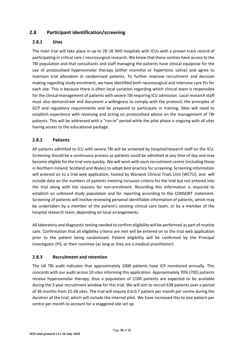# **2.8 Participant identification/screening**

#### **2.8.1 Sites**

The main trial will take place in up to 28 UK NHS hospitals with ICUs with a proven track record of participating in critical care / neurosurgical research. We know that these centres have access to the TBI population and that consultants and staff managing the patients have clinical equipoise for the use of protocolised hyperosmolar therapy (either mannitol or hypertonic saline) and agree to maintain trial allocation in randomised patients. To further improve recruitment and decision making regarding study enrolment, we have identified both neurosurgical and intensive care PIs for each site. This is because there is often local variation regarding which clinical team is responsible for the clinical management of patients with severe TBI requiring ICU admission. Local research staff must also demonstrate and document a willingness to comply with the protocol, the principles of GCP and regulatory requirements and be prepared to participate in training. Sites will need to establish experience with receiving and acting on protocolised advice on the management of TBI patients. This will be addressed with a "run-in" period while the pilot phase is ongoing with all sites having access to the educational package.

#### **2.8.2 Patients**

All patients admitted to ICU with severe TBI will be screened by hospital/research staff on the ICU. Screening should be a continuous process as patients could be admitted at any time of day and may become eligible for the trial very quickly. We will work with each recruitment centre (including those in Northern Ireland, Scotland and Wales) to adopt best practice for screening. Screening information will entered on to a trial web application, hosted by Warwick Clinical Trials Unit (WCTU), and will include data on the numbers of patients meeting inclusion criteria for the trial but not entered into the trial along with the reasons for non-enrolment. Recording this information is required to establish an unbiased study population and for reporting according to the CONSORT statement. Screening of patients will involve reviewing personal identifiable information of patients, which may be undertaken by a member of the patient's existing clinical care team, or by a member of the hospital research team, depending on local arrangements.

All laboratory and diagnostic testing needed to confirm eligibility will be performed as part of routine care. Confirmation that all eligibility criteria are met will be entered on to the trial web application prior to the patient being randomised. Patient eligibility will be confirmed by the Principal Investigator (PI), or their nominee (as long as they are a medical practitioner).

#### **2.8.3 Recruitment and retention**

The UK TBI audit indicates that approximately 1000 patients have ICP monitored annually. This concords with our audit across 10 sites informing this application. Approximately 70% (700) patients receive hyperosmolar therapy, thus a population of 2100 patients are expected to be available during the 3 year recruitment window for this trial. We will aim to recruit 638 patients over a period of 36 months from 25-28 sites. The trial will require 0.6-0.7 patient per month per centre during the duration of the trial, which will include the internal pilot. We have increased this to one patient per centre per month to account for a staggered site set up.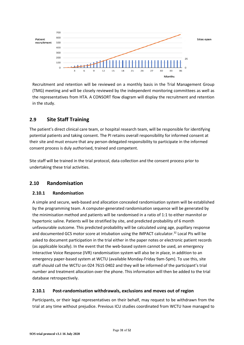

Recruitment and retention will be reviewed on a monthly basis in the Trial Management Group (TMG) meeting and will be closely reviewed by the independent monitoring committees as well as the representatives from HTA. A CONSORT flow diagram will display the recruitment and retention in the study.

# **2.9 Site Staff Training**

The patient's direct clinical care team, or hospital research team, will be responsible for identifying potential patients and taking consent. The PI retains overall responsibility for informed consent at their site and must ensure that any person delegated responsibility to participate in the informed consent process is duly authorised, trained and competent.

Site staff will be trained in the trial protocol, data collection and the consent process prior to undertaking these trial activities.

# **2.10 Randomisation**

#### **2.10.1 Randomisation**

A simple and secure, web-based and allocation concealed randomisation system will be established by the programming team. A computer-generated randomisation sequence will be generated by the minimisation method and patients will be randomised in a ratio of 1:1 to either mannitol or hypertonic saline. Patients will be stratified by site, and predicted probability of 6 month unfavourable outcome. This predicted probability will be calculated using age, pupillary response and documented GCS motor score at intubation using the IMPACT calculator.<sup>32</sup> Local PIs will be asked to document participation in the trial either in the paper notes or electronic patient records (as applicable locally). In the event that the web-based system cannot be used, an emergency Interactive Voice Response (IVR) randomisation system will also be in place, in addition to an emergency paper-based system at WCTU (available Monday-Friday 9am-5pm). To use this, site staff should call the WCTU on 024 7615 0402 and they will be informed of the participant's trial number and treatment allocation over the phone. This information will then be added to the trial database retrospectively.

#### **2.10.1 Post-randomisation withdrawals, exclusions and moves out of region**

Participants, or their legal representatives on their behalf, may request to be withdrawn from the trial at any time without prejudice. Previous ICU studies coordinated from WCTU have managed to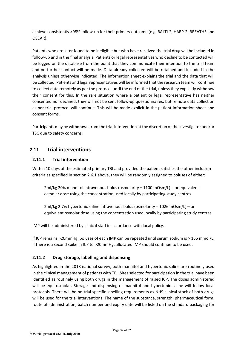achieve consistently >98% follow-up for their primary outcome (e.g. BALTI-2, HARP-2, BREATHE and OSCAR).

Patients who are later found to be ineligible but who have received the trial drug will be included in follow-up and in the final analysis. Patients or legal representatives who decline to be contacted will be logged on the database from the point that they communicate their intention to the trial team and no further contact will be made. Data already collected will be retained and included in the analysis unless otherwise indicated. The information sheet explains the trial and the data that will be collected. Patients and legal representatives will be informed that the research team will continue to collect data remotely as per the protocol until the end of the trial, unless they explicitly withdraw their consent for this. In the rare situation where a patient or legal representative has neither consented nor declined, they will not be sent follow-up questionnaires, but remote data collection as per trial protocol will continue. This will be made explicit in the patient information sheet and consent forms.

Participants may be withdrawn from the trial intervention at the discretion of the investigator and/or TSC due to safety concerns.

## **2.11 Trial interventions**

#### **2.11.1 Trial intervention**

Within 10 days of the estimated primary TBI and provided the patient satisfies the other inclusion criteria as specified in section 2.6.1 above, they will be randomly assigned to boluses of either:

2ml/kg 20% mannitol intravenous bolus (osmolarity = 1100 mOsm/L) - or equivalent osmolar dose using the concentration used locally by participating study centres

2ml/kg 2.7% hypertonic saline intravenous bolus (osmolarity = 1026 mOsm/L) – or equivalent osmolar dose using the concentration used locally by participating study centres

IMP will be administered by clinical staff in accordance with local policy.

If ICP remains >20mmHg, boluses of each IMP can be repeated until serum sodium is > 155 mmol/L. If there is a second spike in ICP to >20mmHg, allocated IMP should continue to be used.

#### **2.11.2 Drug storage, labelling and dispensing**

As highlighted in the 2018 national survey, both mannitol and hypertonic saline are routinely used in the clinical management of patients with TBI. Sites selected for participation in the trial have been identified as routinely using both drugs in the management of raised ICP. The doses administered will be equi-osmolar. Storage and dispensing of mannitol and hypertonic saline will follow local protocols. There will be no trial specific labelling requirements as NHS clinical stock of both drugs will be used for the trial interventions. The name of the substance, strength, pharmaceutical form, route of administration, batch number and expiry date will be listed on the standard packaging for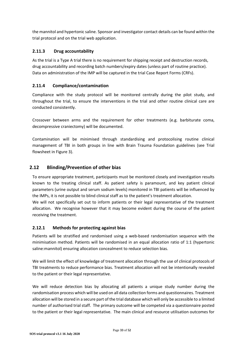the mannitol and hypertonic saline. Sponsor and investigator contact details can be found within the trial protocol and on the trial web application.

#### **2.11.3 Drug accountability**

As the trial is a Type A trial there is no requirement for shipping receipt and destruction records, drug accountability and recording batch numbers/expiry dates (unless part of routine practice). Data on administration of the IMP will be captured in the trial Case Report Forms (CRFs).

#### **2.11.4 Compliance/contamination**

Compliance with the study protocol will be monitored centrally during the pilot study, and throughout the trial, to ensure the interventions in the trial and other routine clinical care are conducted consistently.

Crossover between arms and the requirement for other treatments (e.g. barbiturate coma, decompressive craniectomy) will be documented.

Contamination will be minimised through standardising and protocolising routine clinical management of TBI in both groups in line with Brain Trauma Foundation guidelines (see Trial flowsheet in Figure 3).

## **2.12 Blinding/Prevention of other bias**

To ensure appropriate treatment, participants must be monitored closely and investigation results known to the treating clinical staff. As patient safety is paramount, and key patient clinical parameters (urine output and serum sodium levels) monitored in TBI patients will be influenced by the IMPs, it is not possible to blind clinical staff as to the patient's treatment allocation.

We will not specifically set out to inform patients or their legal representative of the treatment allocation. We recognise however that it may become evident during the course of the patient receiving the treatment.

#### **2.12.1 Methods for protecting against bias**

Patients will be stratified and randomised using a web-based randomisation sequence with the minimisation method. Patients will be randomised in an equal allocation ratio of 1:1 (hypertonic saline:mannitol) ensuring allocation concealment to reduce selection bias.

We will limit the effect of knowledge of treatment allocation through the use of clinical protocols of TBI treatments to reduce performance bias. Treatment allocation will not be intentionally revealed to the patient or their legal representative.

We will reduce detection bias by allocating all patients a unique study number during the randomisation process which will be used on all data collection forms and questionnaires. Treatment allocation will be stored in a secure part of the trial database which will only be accessible to a limited number of authorised trial staff. The primary outcome will be competed via a questionnaire posted to the patient or their legal representative. The main clinical and resource utilisation outcomes for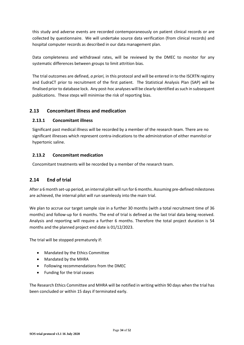this study and adverse events are recorded contemporaneously on patient clinical records or are collected by questionnaire. We will undertake source data verification (from clinical records) and hospital computer records as described in our data management plan.

Data completeness and withdrawal rates, will be reviewed by the DMEC to monitor for any systematic differences between groups to limit attrition bias.

The trial outcomes are defined, *a priori,* in this protocol and will be entered in to the ISCRTN registry and EudraCT prior to recruitment of the first patient. The Statistical Analysis Plan (SAP) will be finalised prior to database lock. Any post-hoc analyses will be clearly identified as such in subsequent publications. These steps will minimise the risk of reporting bias.

#### **2.13 Concomitant illness and medication**

#### **2.13.1 Concomitant illness**

Significant past medical illness will be recorded by a member of the research team. There are no significant illnesses which represent contra-indications to the administration of either mannitol or hypertonic saline.

#### **2.13.2 Concomitant medication**

Concomitant treatments will be recorded by a member of the research team.

#### **2.14 End of trial**

After a 6 month set-up period, an internal pilot will run for 6 months. Assuming pre-defined milestones are achieved, the internal pilot will run seamlessly into the main trial.

We plan to accrue our target sample size in a further 30 months (with a total recruitment time of 36 months) and follow-up for 6 months. The end of trial is defined as the last trial data being received. Analysis and reporting will require a further 6 months. Therefore the total project duration is 54 months and the planned project end date is 01/12/2023.

The trial will be stopped prematurely if:

- Mandated by the Ethics Committee
- Mandated by the MHRA
- Following recommendations from the DMEC
- Funding for the trial ceases

The Research Ethics Committee and MHRA will be notified in writing within 90 days when the trial has been concluded or within 15 days if terminated early.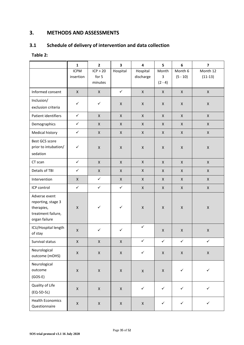# **3. METHODS AND ASSESSMENTS**

# **3.1 Schedule of delivery of intervention and data collection**

#### **Table 2:**

|                                                                                          | $\mathbf{1}$             | $\mathbf{2}$                 | 3                  | $\overline{\mathbf{4}}$ | 5                       | $\boldsymbol{6}$      | $\overline{\mathbf{z}}$ |
|------------------------------------------------------------------------------------------|--------------------------|------------------------------|--------------------|-------------------------|-------------------------|-----------------------|-------------------------|
|                                                                                          | <b>ICPM</b><br>insertion | ICP > 20<br>for 5<br>minutes | Hospital           | Hospital<br>discharge   | Month<br>3<br>$(2 - 4)$ | Month 6<br>$(5 - 10)$ | Month 12<br>$(11-13)$   |
| Informed consent                                                                         | $\mathsf{X}$             | $\mathsf X$                  | $\checkmark$       | $\mathsf X$             | $\pmb{\mathsf{X}}$      | $\mathsf X$           | $\mathsf{X}$            |
| Inclusion/<br>exclusion criteria                                                         | $\checkmark$             | $\checkmark$                 | $\pmb{\mathsf{X}}$ | $\mathsf{X}$            | X                       | $\pmb{\times}$        | $\pmb{\times}$          |
| Patient identifiers                                                                      | $\checkmark$             | $\mathsf X$                  | $\mathsf{X}$       | $\mathsf{X}$            | $\pmb{\times}$          | X                     | $\mathsf{X}$            |
| Demographics                                                                             | $\checkmark$             | $\mathsf{X}$                 | $\mathsf{X}$       | $\mathsf X$             | $\pmb{\times}$          | $\mathsf X$           | $\mathsf{X}$            |
| Medical history                                                                          | $\checkmark$             | $\pmb{\times}$               | $\mathsf{X}$       | $\mathsf X$             | $\pmb{\times}$          | X                     | $\mathsf X$             |
| Best GCS score<br>prior to intubation/<br>sedation                                       | $\checkmark$             | $\mathsf X$                  | $\mathsf X$        | $\mathsf{X}$            | $\pmb{\times}$          | $\pmb{\times}$        | $\pmb{\mathsf{X}}$      |
| CT scan                                                                                  | $\checkmark$             | $\pmb{\times}$               | X                  | $\mathsf X$             | $\pmb{\times}$          | $\mathsf X$           | $\mathsf X$             |
| Details of TBI                                                                           | $\checkmark$             | $\mathsf{X}$                 | $\pmb{\times}$     | $\mathsf{X}$            | $\pmb{\times}$          | $\mathsf X$           | $\mathsf{X}$            |
| Intervention                                                                             | X                        | $\checkmark$                 | $\mathsf{X}$       | $\mathsf{X}$            | X                       | X                     | $\mathsf{X}$            |
| ICP control                                                                              | $\checkmark$             | $\checkmark$                 | $\checkmark$       | $\mathsf X$             | $\pmb{\mathsf{X}}$      | $\mathsf X$           | $\mathsf X$             |
| Adverse event<br>reporting, stage 3<br>therapies,<br>treatment failure,<br>organ failure | $\pmb{\times}$           | $\checkmark$                 | $\checkmark$       | $\pmb{\mathsf{X}}$      | $\pmb{\times}$          | $\mathsf X$           | $\mathsf X$             |
| ICU/Hospital length<br>of stay                                                           | $\pmb{\times}$           | $\checkmark$                 | $\checkmark$       | $\checkmark$            | $\pmb{\times}$          | $\pmb{\times}$        | $\pmb{\times}$          |
| Survival status                                                                          | $\mathsf X$              | $\mathsf X$                  | $\pmb{\mathsf{X}}$ | $\checkmark$            | $\checkmark$            | $\checkmark$          | $\checkmark$            |
| Neurological<br>outcome (mOHS)                                                           | $\mathsf X$              | $\mathsf X$                  | $\mathsf X$        | $\checkmark$            | $\mathsf X$             | $\mathsf X$           | $\mathsf X$             |
| Neurological<br>outcome<br>$(GOS-E)$                                                     | $\pmb{\mathsf{X}}$       | $\mathsf X$                  | $\mathsf X$        | $\mathsf X$             | $\mathsf X$             | $\checkmark$          | $\checkmark$            |
| Quality of Life<br>$(EQ-5D-5L)$                                                          | $\mathsf X$              | $\mathsf X$                  | $\mathsf X$        | $\checkmark$            | $\checkmark$            | $\checkmark$          | $\checkmark$            |
| <b>Health Economics</b><br>Questionnaire                                                 | $\mathsf X$              | $\mathsf X$                  | $\mathsf X$        | $\mathsf X$             | $\checkmark$            | $\checkmark$          | $\checkmark$            |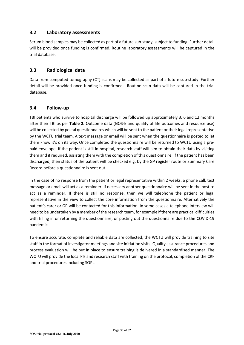#### **3.2 Laboratory assessments**

Serum blood samples may be collected as part of a future sub-study, subject to funding. Further detail will be provided once funding is confirmed. Routine laboratory assessments will be captured in the trial database.

#### **3.3 Radiological data**

Data from computed tomography (CT) scans may be collected as part of a future sub-study. Further detail will be provided once funding is confirmed. Routine scan data will be captured in the trial database.

#### **3.4 Follow-up**

TBI patients who survive to hospital discharge will be followed up approximately 3, 6 and 12 months after their TBI as per **Table 2.** Outcome data (GOS-E and quality of life outcomes and resource use) will be collected by postal questionnaires which will be sent to the patient or their legal representative by the WCTU trial team. A text message or email will be sent when the questionnaire is posted to let them know it's on its way. Once completed the questionnaire will be returned to WCTU using a prepaid envelope. If the patient is still in hospital, research staff will aim to obtain their data by visiting them and if required, assisting them with the completion of this questionnaire. If the patient has been discharged, then status of the patient will be checked e.g. by the GP register route or Summary Care Record before a questionnaire is sent out.

In the case of no response from the patient or legal representative within 2 weeks, a phone call, text message or email will act as a reminder. If necessary another questionnaire will be sent in the post to act as a reminder. If there is still no response, then we will telephone the patient or legal representative in the view to collect the core information from the questionnaire. Alternatively the patient's carer or GP will be contacted for this information. In some cases a telephone interview will need to be undertaken by a member of the research team, for example if there are practical difficulties with filling in or returning the questionnaire, or posting out the questionnaire due to the COVID-19 pandemic.

To ensure accurate, complete and reliable data are collected, the WCTU will provide training to site staff in the format of investigator meetings and site initiation visits. Quality assurance procedures and process evaluation will be put in place to ensure training is delivered in a standardised manner. The WCTU will provide the local PIs and research staff with training on the protocol, completion of the CRF and trial procedures including SOPs.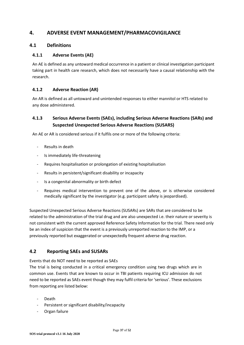# **4. ADVERSE EVENT MANAGEMENT/PHARMACOVIGILANCE**

#### **4.1 Definitions**

#### **4.1.1 Adverse Events (AE)**

An AE is defined as any untoward medical occurrence in a patient or clinical investigation participant taking part in health care research, which does not necessarily have a causal relationship with the research.

#### **4.1.2 Adverse Reaction (AR)**

An AR is defined as all untoward and unintended responses to either mannitol or HTS related to any dose administered.

# **4.1.3 Serious Adverse Events (SAEs), including Serious Adverse Reactions (SARs) and Suspected Unexpected Serious Adverse Reactions (SUSARS)**

An AE or AR is considered serious if it fulfils one or more of the following criteria:

- Results in death
- Is immediately life-threatening
- Requires hospitalisation or prolongation of existing hospitalisation
- Results in persistent/significant disability or incapacity
- Is a congenital abnormality or birth defect
- Requires medical intervention to prevent one of the above, or is otherwise considered medically significant by the investigator (e.g. participant safety is jeopardised).

Suspected Unexpected Serious Adverse Reactions (SUSARs) are SARs that are considered to be related to the administration of the trial drug and are also unexpected i.e. their nature or severity is not consistent with the current approved Reference Safety Information for the trial. There need only be an index of suspicion that the event is a previously unreported reaction to the IMP, or a previously reported but exaggerated or unexpectedly frequent adverse drug reaction.

#### **4.2 Reporting SAEs and SUSARs**

Events that do NOT need to be reported as SAEs

The trial is being conducted in a critical emergency condition using two drugs which are in common use. Events that are known to occur in TBI patients requiring ICU admission do not need to be reported as SAEs event though they may fulfil criteria for 'serious'. These exclusions from reporting are listed below:

- Death
- Persistent or significant disability/incapacity
- Organ failure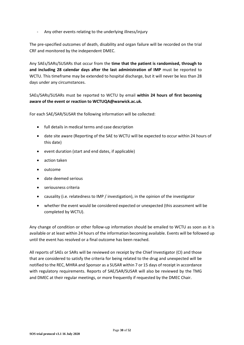- Any other events relating to the underlying illness/injury

The pre-specified outcomes of death, disability and organ failure will be recorded on the trial CRF and monitored by the independent DMEC.

Any SAEs/SARs/SUSARs that occur from the **time that the patient is randomised, through to and including 28 calendar days after the last administration of IMP** must be reported to WCTU. This timeframe may be extended to hospital discharge, but it will never be less than 28 days under any circumstances.

SAEs/SARs/SUSARs must be reported to WCTU by email **within 24 hours of first becoming aware of the event or reaction to WCTUQA@warwick.ac.uk.**

For each SAE/SAR/SUSAR the following information will be collected:

- full details in medical terms and case description
- date site aware (Reporting of the SAE to WCTU will be expected to occur within 24 hours of this date)
- event duration (start and end dates, if applicable)
- action taken
- $\bullet$  outcome
- date deemed serious
- seriousness criteria
- causality (i.e. relatedness to IMP / investigation), in the opinion of the investigator
- whether the event would be considered expected or unexpected (this assessment will be completed by WCTU).

Any change of condition or other follow-up information should be emailed to WCTU as soon as it is available or at least within 24 hours of the information becoming available. Events will be followed up until the event has resolved or a final outcome has been reached.

All reports of SAEs or SARs will be reviewed on receipt by the Chief Investigator (CI) and those that are considered to satisfy the criteria for being related to the drug and unexpected will be notified to the REC, MHRA and Sponsor as a SUSAR within 7 or 15 days of receipt in accordance with regulatory requirements. Reports of SAE/SAR/SUSAR will also be reviewed by the TMG and DMEC at their regular meetings, or more frequently if requested by the DMEC Chair.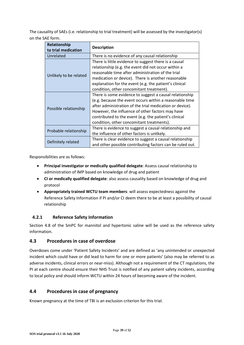The causality of SAEs (i.e. relationship to trial treatment) will be assessed by the investigator(s) on the SAE form.

| Relationship<br>to trial medication | <b>Description</b>                                                                                                                                                                                                                                                                                                                       |
|-------------------------------------|------------------------------------------------------------------------------------------------------------------------------------------------------------------------------------------------------------------------------------------------------------------------------------------------------------------------------------------|
| Unrelated                           | There is no evidence of any causal relationship                                                                                                                                                                                                                                                                                          |
| Unlikely to be related              | There is little evidence to suggest there is a causal<br>relationship (e.g. the event did not occur within a<br>reasonable time after administration of the trial<br>medication or device). There is another reasonable<br>explanation for the event (e.g. the patient's clinical<br>condition, other concomitant treatment).            |
| Possible relationship               | There is some evidence to suggest a causal relationship<br>(e.g. because the event occurs within a reasonable time<br>after administration of the trial medication or device).<br>However, the influence of other factors may have<br>contributed to the event (e.g. the patient's clinical<br>condition, other concomitant treatments). |
| Probable relationship               | There is evidence to suggest a causal relationship and<br>the influence of other factors is unlikely.                                                                                                                                                                                                                                    |
| Definitely related                  | There is clear evidence to suggest a causal relationship<br>and other possible contributing factors can be ruled out.                                                                                                                                                                                                                    |

Responsibilities are as follows:

- **Principal investigator or medically qualified delegate**: Assess causal relationship to administration of IMP based on knowledge of drug and patient
- **CI or medically qualified delegate**: also assess causality based on knowledge of drug and protocol
- **Appropriately trained WCTU team members**: will assess expectedness against the Reference Safety Information if PI and/or CI deem there to be at least a possibility of causal relationship

#### **4.2.1 Reference Safety Information**

Section 4.8 of the SmPC for mannitol and hypertonic saline will be used as the reference safety information.

#### **4.3 Procedures in case of overdose**

Overdoses come under 'Patient Safety Incidents' and are defined as 'any unintended or unexpected incident which could have or did lead to harm for one or more patients' (also may be referred to as adverse incidents, clinical errors or near-miss). Although not a requirement of the CT regulations, the PI at each centre should ensure their NHS Trust is notified of any patient safety incidents, according to local policy and should inform WCTU within 24 hours of becoming aware of the incident.

#### **4.4 Procedures in case of pregnancy**

Known pregnancy at the time of TBI is an exclusion criterion for this trial.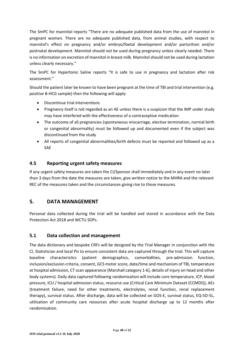The SmPC for mannitol reports "There are no adequate published data from the use of mannitol in pregnant women. There are no adequate published data, from animal studies, with respect to mannitol's effect on pregnancy and/or embryo/foetal development and/or parturition and/or postnatal development. Mannitol should not be used during pregnancy unless clearly needed. There is no information on excretion of mannitol in breast milk. Mannitol should not be used during lactation unless clearly necessary."

The SmPC for Hypertonic Saline reports "It is safe to use in pregnancy and lactation after risk assessment."

Should the patient later be known to have been pregnant at the time of TBI and trial intervention (e.g. positive B-HCG sample) then the following will apply:

- Discontinue trial interventions
- Pregnancy itself is not regarded as an AE unless there is a suspicion that the IMP under study may have interfered with the effectiveness of a contraceptive medication
- The outcome of all pregnancies (spontaneous miscarriage, elective termination, normal birth or congenital abnormality) must be followed up and documented even if the subject was discontinued from the study
- All reports of congenital abnormalities/birth defects must be reported and followed up as a SAE

#### **4.5 Reporting urgent safety measures**

If any urgent safety measures are taken the CI/Sponsor shall immediately and in any event no later than 3 days from the date the measures are taken, give written notice to the MHRA and the relevant REC of the measures taken and the circumstances giving rise to those measures.

# **5. DATA MANAGEMENT**

Personal data collected during the trial will be handled and stored in accordance with the Data Protection Act 2018 and WCTU SOPs.

#### **5.1 Data collection and management**

The data dictionary and bespoke CRFs will be designed by the Trial Manager in conjunction with the CI, Statistician and local PIs to ensure consistent data are captured through the trial. This will capture baseline characteristics (patient demographics, comorbidities, pre-admission function, inclusion/exclusion criteria, consent, GCS motor score, date/time and mechanism of TBI, temperature at hospital admission, CT scan appearance (Marshall category 1-6), details of injury on head and other body systems). Daily data captured following randomisation will include core temperature, ICP, blood pressure, ICU / hospital admission status, resource use (Critical Care Minimum Dataset (CCMDS)), AEs (treatment failure, need for other treatments, electrolytes, renal function, renal replacement therapy), survival status. After discharge, data will be collected on GOS-E, survival status, EQ-5D-5L, utilisation of community care resources after acute hospital discharge up to 12 months after randomisation.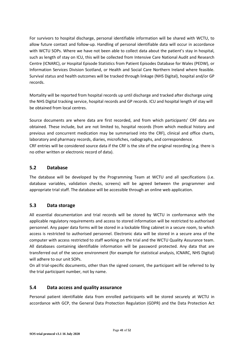For survivors to hospital discharge, personal identifiable information will be shared with WCTU, to allow future contact and follow-up. Handling of personal identifiable data will occur in accordance with WCTU SOPs. Where we have not been able to collect data about the patient's stay in hospital, such as length of stay on ICU, this will be collected from Intensive Care National Audit and Research Centre (ICNARC), or Hospital Episode Statistics from Patient Episodes Database for Wales (PEDW), or Information Services Division Scotland, or Health and Social Care Northern Ireland where feasible. Survival status and health outcomes will be tracked through linkage (NHS Digital), hospital and/or GP records.

Mortality will be reported from hospital records up until discharge and tracked after discharge using the NHS Digital tracking service, hospital records and GP records. ICU and hospital length of stay will be obtained from local centres.

Source documents are where data are first recorded, and from which participants' CRF data are obtained. These include, but are not limited to, hospital records (from which medical history and previous and concurrent medication may be summarised into the CRF), clinical and office charts, laboratory and pharmacy records, diaries, microfiches, radiographs, and correspondence. CRF entries will be considered source data if the CRF is the site of the original recording (e.g. there is no other written or electronic record of data).

#### **5.2 Database**

The database will be developed by the Programming Team at WCTU and all specifications (i.e. database variables, validation checks, screens) will be agreed between the programmer and appropriate trial staff. The database will be accessible through an online web application.

#### **5.3 Data storage**

All essential documentation and trial records will be stored by WCTU in conformance with the applicable regulatory requirements and access to stored information will be restricted to authorised personnel. Any paper data forms will be stored in a lockable filing cabinet in a secure room, to which access is restricted to authorised personnel. Electronic data will be stored in a secure area of the computer with access restricted to staff working on the trial and the WCTU Quality Assurance team. All databases containing identifiable information will be password protected. Any data that are transferred out of the secure environment (for example for statistical analysis, ICNARC, NHS Digital) will adhere to our unit SOPs.

On all trial-specific documents, other than the signed consent, the participant will be referred to by the trial participant number, not by name.

#### **5.4 Data access and quality assurance**

Personal patient identifiable data from enrolled participants will be stored securely at WCTU in accordance with GCP, the General Data Protection Regulation (GDPR) and the Data Protection Act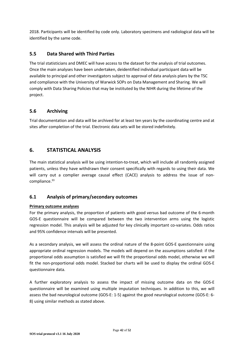2018. Participants will be identified by code only. Laboratory specimens and radiological data will be identified by the same code.

## **5.5 Data Shared with Third Parties**

The trial statisticians and DMEC will have access to the dataset for the analysis of trial outcomes. Once the main analyses have been undertaken, deidentified individual participant data will be available to principal and other investigators subject to approval of data analysis plans by the TSC and compliance with the University of Warwick SOPs on Data Management and Sharing. We will comply with Data Sharing Policies that may be instituted by the NIHR during the lifetime of the project.

#### **5.6 Archiving**

Trial documentation and data will be archived for at least ten years by the coordinating centre and at sites after completion of the trial. Electronic data sets will be stored indefinitely.

# **6. STATISTICAL ANALYSIS**

The main statistical analysis will be using intention-to-treat, which will include all randomly assigned patients, unless they have withdrawn their consent specifically with regards to using their data. We will carry out a complier average causal effect (CACE) analysis to address the issue of noncompliance.<sup>33</sup>

#### **6.1 Analysis of primary/secondary outcomes**

#### **Primary outcome analyses**

For the primary analysis, the proportion of patients with good versus bad outcome of the 6-month GOS-E questionnaire will be compared between the two intervention arms using the logistic regression model. This analysis will be adjusted for key clinically important co-variates. Odds ratios and 95% confidence intervals will be presented.

As a secondary analysis, we will assess the ordinal nature of the 8-point GOS-E questionnaire using appropriate ordinal regression models. The models will depend on the assumptions satisfied: if the proportional odds assumption is satisfied we will fit the proportional odds model, otherwise we will fit the non-proportional odds model. Stacked bar charts will be used to display the ordinal GOS-E questionnaire data.

A further exploratory analysis to assess the impact of missing outcome data on the GOS-E questionnaire will be examined using multiple imputation techniques. In addition to this, we will assess the bad neurological outcome (GOS-E: 1-5) against the good neurological outcome (GOS-E: 6- 8) using similar methods as stated above.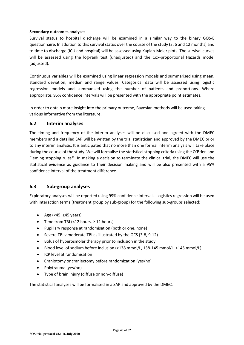#### **Secondary outcomes analyses**

Survival status to hospital discharge will be examined in a similar way to the binary GOS-E questionnaire. In addition to this survival status over the course of the study (3, 6 and 12 months) and to time to discharge (ICU and hospital) will be assessed using Kaplan-Meier plots. The survival curves will be assessed using the log-rank test (unadjusted) and the Cox-proportional Hazards model (adjusted).

Continuous variables will be examined using linear regression models and summarised using mean, standard deviation, median and range values. Categorical data will be assessed using logistic regression models and summarised using the number of patients and proportions. Where appropriate, 95% confidence intervals will be presented with the appropriate point estimates.

In order to obtain more insight into the primary outcome, Bayesian methods will be used taking various informative from the literature.

#### **6.2 Interim analyses**

The timing and frequency of the interim analyses will be discussed and agreed with the DMEC members and a detailed SAP will be written by the trial statistician and approved by the DMEC prior to any interim analysis. It is anticipated that no more than one formal interim analysis will take place during the course of the study. We will formalise the statistical stopping criteria using the O'Brien and Fleming stopping rules<sup>34</sup>. In making a decision to terminate the clinical trial, the DMEC will use the statistical evidence as guidance to their decision making and will be also presented with a 95% confidence interval of the treatment difference.

#### **6.3 Sub-group analyses**

Exploratory analyses will be reported using 99% confidence intervals. Logistics regression will be used with interaction terms (treatment group by sub-group) for the following sub-groups selected:

- $\bullet$  Age (<45, ≥45 years)
- Time from TBI (<12 hours,  $\ge$  12 hours)
- Pupillary response at randomisation (both or one, none)
- Severe TBI v moderate TBI as illustrated by the GCS (3-8, 9-12)
- Bolus of hyperosmolar therapy prior to inclusion in the study
- Blood level of sodium before inclusion (<138 mmol/L, 138-145 mmol/L, >145 mmol/L)
- ICP level at randomisation
- Craniotomy or craniectomy before randomization (yes/no)
- Polytrauma (yes/no)
- Type of brain injury (diffuse or non-diffuse)

The statistical analyses will be formalised in a SAP and approved by the DMEC.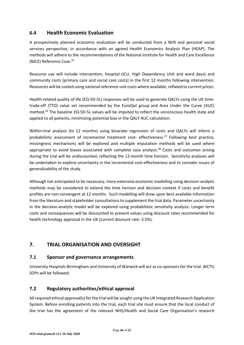# **6.4 Health Economic Evaluation**

A prospectively planned economic evaluation will be conducted from a NHS and personal social services perspective, in accordance with an agreed Health Economics Analysis Plan (HEAP). The methods will adhere to the recommendations of the National Institute for Health and Care Excellence (NICE) Reference Case.<sup>35</sup>

Resource use will include intervention, hospital (ICU, High Dependency Unit and ward days) and community costs (primary care and social care costs) in the first 12 months following intervention. Resources will be costed using national reference unit costs where available, reflated to current prices.

Health-related quality of life (EQ-5D-5L) responses will be used to generate QALYs using the UK timetrade-off (TTO) value set recommended by the EuroQol group and Area Under the Curve (AUC) method.<sup>36</sup> The baseline EQ-5D-5L values will be imputed to reflect the unconscious health state and applied to all patients, minimising potential bias in the QALY AUC calculation.

Within-trial analysis (to 12 months) using bivariate regression of costs and QALYs will inform a probabilistic assessment of incremental treatment cost- effectiveness.<sup>37</sup> Following best practice, missingness mechanisms will be explored and multiple imputation methods will be used where appropriate to avoid biases associated with complete case analysis.<sup>38</sup> Costs and outcomes arising during the trial will be undiscounted, reflecting the 12-month time horizon. Sensitivity analyses will be undertaken to explore uncertainty in the incremental cost-effectiveness and to consider issues of generalisability of the study.

Although not anticipated to be necessary, more extensive economic modelling using decision-analytic methods may be considered to extend the time horizon and decision context if costs and benefit profiles are non-convergent at 12 months. Such modelling will draw upon best available information from the literature and stakeholder consultations to supplement the trial data. Parameter uncertainty in the decision-analytic model will be explored using probabilistic sensitivity analysis. Longer term costs and consequences will be discounted to present values using discount rates recommended for health technology appraisal in the UK (current discount rate: 3.5%).

# **7. TRIAL ORGANISATION AND OVERSIGHT**

#### **7.1 Sponsor and governance arrangements**

University Hospitals Birmingham and University of Warwick will act as co-sponsors for the trial. WCTU SOPs will be followed.

#### **7.2 Regulatory authorities/ethical approval**

All required ethical approval(s) for the trial will be sought using the UK Integrated Research Application System. Before enrolling patients into the trial, each trial site must ensure that the local conduct of the trial has the agreement of the relevant NHS/Health and Social Care Organisation's research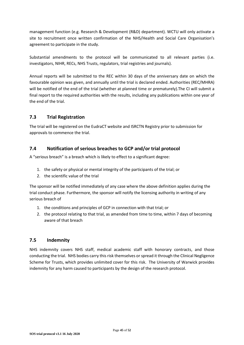management function (e.g. Research & Development (R&D) department). WCTU will only activate a site to recruitment once written confirmation of the NHS/Health and Social Care Organisation's agreement to participate in the study.

Substantial amendments to the protocol will be communicated to all relevant parties (i.e. investigators, NIHR, RECs, NHS Trusts, regulators, trial registries and journals).

Annual reports will be submitted to the REC within 30 days of the anniversary date on which the favourable opinion was given, and annually until the trial is declared ended. Authorities (REC/MHRA) will be notified of the end of the trial (whether at planned time or prematurely).The CI will submit a final report to the required authorities with the results, including any publications within one year of the end of the trial.

# **7.3 Trial Registration**

The trial will be registered on the EudraCT website and ISRCTN Registry prior to submission for approvals to commence the trial.

## **7.4 Notification of serious breaches to GCP and/or trial protocol**

A "serious breach" is a breach which is likely to effect to a significant degree:

- 1. the safety or physical or mental integrity of the participants of the trial; or
- 2. the scientific value of the trial

The sponsor will be notified immediately of any case where the above definition applies during the trial conduct phase. Furthermore, the sponsor will notify the licensing authority in writing of any serious breach of

- 1. the conditions and principles of GCP in connection with that trial; or
- 2. the protocol relating to that trial, as amended from time to time, within 7 days of becoming aware of that breach

#### **7.5 Indemnity**

NHS indemnity covers NHS staff, medical academic staff with honorary contracts, and those conducting the trial. NHS bodies carry this risk themselves or spread it through the Clinical Negligence Scheme for Trusts, which provides unlimited cover for this risk. The University of Warwick provides indemnity for any harm caused to participants by the design of the research protocol.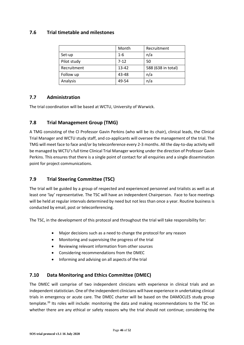### **7.6 Trial timetable and milestones**

|             | Month    | Recruitment        |
|-------------|----------|--------------------|
| Set-up      | $1 - 6$  | n/a                |
| Pilot study | $7 - 12$ | 50                 |
| Recruitment | 13-42    | 588 (638 in total) |
| Follow up   | 43-48    | n/a                |
| Analysis    | 49-54    | n/a                |

## **7.7 Administration**

The trial coordination will be based at WCTU, University of Warwick.

## **7.8 Trial Management Group (TMG)**

A TMG consisting of the CI Professor Gavin Perkins (who will be its chair), clinical leads, the Clinical Trial Manager and WCTU study staff, and co-applicants will oversee the management of the trial. The TMG will meet face to face and/or by teleconference every 2-3 months. All the day-to-day activity will be managed by WCTU's full time Clinical Trial Manager working under the direction of Professor Gavin Perkins. This ensures that there is a single point of contact for all enquiries and a single dissemination point for project communications.

# **7.9 Trial Steering Committee (TSC)**

The trial will be guided by a group of respected and experienced personnel and trialists as well as at least one 'lay' representative. The TSC will have an independent Chairperson. Face to face meetings will be held at regular intervals determined by need but not less than once a year. Routine business is conducted by email, post or teleconferencing.

The TSC, in the development of this protocol and throughout the trial will take responsibility for:

- Major decisions such as a need to change the protocol for any reason
- Monitoring and supervising the progress of the trial
- Reviewing relevant information from other sources
- Considering recommendations from the DMEC
- Informing and advising on all aspects of the trial

#### **7.10 Data Monitoring and Ethics Committee (DMEC)**

The DMEC will comprise of two independent clinicians with experience in clinical trials and an independent statistician. One of the independent clinicians will have experience in undertaking clinical trials in emergency or acute care. The DMEC charter will be based on the DAMOCLES study group template.<sup>39</sup> Its roles will include: monitoring the data and making recommendations to the TSC on whether there are any ethical or safety reasons why the trial should not continue; considering the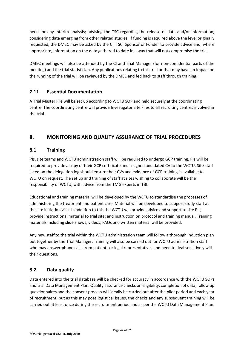need for any interim analysis; advising the TSC regarding the release of data and/or information; considering data emerging from other related studies. If funding is required above the level originally requested, the DMEC may be asked by the CI, TSC, Sponsor or Funder to provide advice and, where appropriate, information on the data gathered to date in a way that will not compromise the trial.

DMEC meetings will also be attended by the CI and Trial Manager (for non-confidential parts of the meeting) and the trial statistician. Any publications relating to this trial or that may have an impact on the running of the trial will be reviewed by the DMEC and fed back to staff through training.

## **7.11 Essential Documentation**

A Trial Master File will be set up according to WCTU SOP and held securely at the coordinating centre. The coordinating centre will provide Investigator Site Files to all recruiting centres involved in the trial.

# **8. MONITORING AND QUALITY ASSURANCE OF TRIAL PROCEDURES**

#### **8.1 Training**

PIs, site teams and WCTU administration staff will be required to undergo GCP training. PIs will be required to provide a copy of their GCP certificate and a signed and dated CV to the WCTU. Site staff listed on the delegation log should ensure their CVs and evidence of GCP training is available to WCTU on request. The set up and training of staff at sites wishing to collaborate will be the responsibility of WCTU, with advice from the TMG experts in TBI.

Educational and training material will be developed by the WCTU to standardise the processes of administering the treatment and patient care. Material will be developed to support study staff at the site initiation visit. In addition to this the WCTU will provide advice and support to site PIs; provide instructional material to trial site; and instruction on protocol and training manual. Training materials including slide shows, videos, FAQs and written material will be provided.

Any new staff to the trial within the WCTU administration team will follow a thorough induction plan put together by the Trial Manager. Training will also be carried out for WCTU administration staff who may answer phone calls from patients or legal representatives and need to deal sensitively with their questions.

# **8.2 Data quality**

Data entered into the trial database will be checked for accuracy in accordance with the WCTU SOPs and trial Data Management Plan. Quality assurance checks on eligibility, completion of data, follow up questionnaires and the consent process will ideally be carried out after the pilot period and each year of recruitment, but as this may pose logistical issues, the checks and any subsequent training will be carried out at least once during the recruitment period and as per the WCTU Data Management Plan.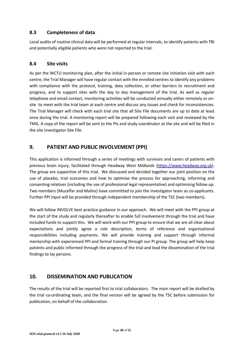### **8.3 Completeness of data**

Local audits of routine clinical data will be performed at regular intervals, to identify patients with TBI and potentially eligible patients who were not reported to the trial.

#### **8.4 Site visits**

As per the WCTU monitoring plan, after the initial in-person or remote site initiation visit with each centre, the Trial Manager will have regular contact with the enrolled centres to identify any problems with compliance with the protocol, training, data collection, or other barriers to recruitment and progress, and to support sites with the day to day management of the trial. As well as regular telephone and email contact, monitoring activities will be conducted annually either remotely or onsite to meet with the trial team at each centre and discuss any issues and check for inconsistencies. The Trial Manager will check with each trial site that all Site File documents are up to date at least once during the trial. A monitoring report will be prepared following each visit and reviewed by the TMG. A copy of the report will be sent to the PIs and study coordinator at the site and will be filed in the site Investigator Site File.

# **9. PATIENT AND PUBLIC INVOLVEMENT (PPI)**

This application is informed through a series of meetings with survivors and carers of patients with previous brain injury, facilitated through Headway West Midlands (https://www.headway.org.uk). The group are supportive of this trial. We discussed and decided together our joint position on the use of placebo, trial outcomes and how to optimise the process for approaching, informing and consenting relatives (including the use of professional legal representative) and optimising follow-up. Two members (Muzaffar and Malins) have committed to join the investigator team as co-applicants. Further PPI input will be provided through independent membership of the TSC (two members).

We will follow INVOLVE best practice guidance in our approach. We will meet with the PPI group at the start of the study and regularly thereafter to enable full involvement through the trial and have included funds to support this. We will work with our PPI group to ensure that we are all clear about expectations and jointly agree a role description, terms of reference and organisational responsibilities including payments. We will provide training and support through informal mentorship with experienced PPI and formal training through our PI group. The group will help keep patients and public informed through the progress of the trial and lead the dissemination of the trial findings to lay persons.

# **10. DISSEMINATION AND PUBLICATION**

The results of the trial will be reported first to trial collaborators. The main report will be drafted by the trial co-ordinating team, and the final version will be agreed by the TSC before submission for publication, on behalf of the collaboration.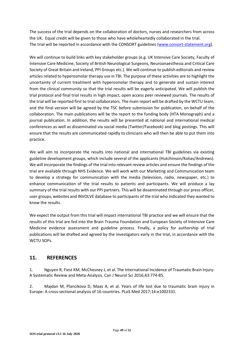The success of the trial depends on the collaboration of doctors, nurses and researchers from across the UK. Equal credit will be given to those who have wholeheartedly collaborated in the trial. The trial will be reported in accordance with the CONSORT guidelines (www.consort-statement.org).

We will continue to build links with key stakeholder groups (e.g. UK Intensive Care Society, Faculty of Intensive Care Medicine, Society of British Neurological Surgeons, Neuroanaesthesia and Critical Care Society of Great Britain and Ireland, PPI Groups etc.). We will continue to publish editorials and review articles related to hyperosmolar therapy use in TBI. The purpose of these activities are to highlight the uncertainty of current treatment with hyperosmolar therapy and to generate and sustain interest from the clinical community so that the trial results will be eagerly anticipated. We will publish the trial protocol and final trial results in high impact, open access peer reviewed journals. The results of the trial will be reported first to trial collaborators. The main report will be drafted by the WCTU team, and the final version will be agreed by the TSC before submission for publication, on behalf of the collaboration. The main publications will be the report to the funding body (HTA Monograph) and a journal publication. In addition, the results will be presented at national and international medical conferences as well as disseminated via social media (Twitter/Facebook) and blog postings. This will ensure that the results are communicated rapidly to clinicians who will then be able to put them into practice.

We will aim to incorporate the results into national and international TBI guidelines via existing guideline development groups, which include several of the applicants (Hutchinson/Kolias/Andrews). We will incorporate the findings of the trial into relevant review articles and ensure the findings of the trial are available through NHS Evidence. We will work with our Marketing and Communication team to develop a strategy for communication with the media (television, radio, newspaper, etc.) to enhance communication of the trial results to patients and participants. We will produce a lay summary of the trial results with our PPI partners. This will be disseminated through our press officer, user groups, websites and INVOLVE database to participants of the trial who indicated they wanted to know the results.

We expect the output from this trial will impact international TBI practice and we will ensure that the results of this trial are fed into the Brain Trauma Foundation and European Society of Intensive Care Medicine evidence assessment and guideline process. Finally, a policy for authorship of trial publications will be drafted and agreed by the investigators early in the trial, in accordance with the WCTU SOPs.

# **11. REFERENCES**

1. Nguyen R, Fiest KM, McChesney J, et al. The International Incidence of Traumatic Brain Injury: A Systematic Review and Meta-Analysis. Can J Neurol Sci 2016;43:774-85.

2. Majdan M, Plancikova D, Maas A, et al. Years of life lost due to traumatic brain injury in Europe: A cross-sectional analysis of 16 countries. PLoS Med 2017;14:e1002331.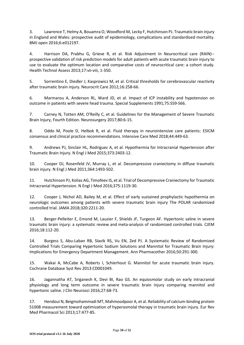3. Lawrence T, Helmy A, Bouamra O, Woodford M, Lecky F, Hutchinson PJ. Traumatic brain injury in England and Wales: prospective audit of epidemiology, complications and standardised mortality. BMJ open 2016;6:e012197.

4. Harrison DA, Prabhu G, Grieve R, et al. Risk Adjustment In Neurocritical care (RAIN)- prospective validation of risk prediction models for adult patients with acute traumatic brain injury to use to evaluate the optimum location and comparative costs of neurocritical care: a cohort study. Health Technol Assess 2013;17:vii-viii, 1-350.

5. Sorrentino E, Diedler J, Kasprowicz M, et al. Critical thresholds for cerebrovascular reactivity after traumatic brain injury. Neurocrit Care 2012;16:258-66.

6. Marmarou A, Anderson RL, Ward JD, et al. Impact of ICP instability and hypotension on outcome in patients with severe head trauma. Special Supplements 1991;75:S59-S66.

7. Carney N, Totten AM, O'Reilly C, et al. Guidelines for the Management of Severe Traumatic Brain Injury, Fourth Edition. Neurosurgery 2017;80:6-15.

8. Oddo M, Poole D, Helbok R, et al. Fluid therapy in neurointensive care patients: ESICM consensus and clinical practice recommendations. Intensive Care Med 2018;44:449-63.

9. Andrews PJ, Sinclair HL, Rodriguez A, et al. Hypothermia for Intracranial Hypertension after Traumatic Brain Injury. N Engl J Med 2015;373:2403-12.

10. Cooper DJ, Rosenfeld JV, Murray L, et al. Decompressive craniectomy in diffuse traumatic brain injury. N Engl J Med 2011;364:1493-502.

11. Hutchinson PJ, Kolias AG, Timofeev IS, et al. Trial of Decompressive Craniectomy for Traumatic Intracranial Hypertension. N Engl J Med 2016;375:1119-30.

12. Cooper J, Nichol AD, Bailey M, et al. Effect of early sustained prophylactic hypothermia on neurologic outcomes among patients with severe traumatic brain injury The POLAR randomized controlled trial. JAMA 2018;320:2211-20.

13. Berger-Pelleiter E, Emond M, Lauzier F, Shields JF, Turgeon AF. Hypertonic saline in severe traumatic brain injury: a systematic review and meta-analysis of randomized controlled trials. CJEM 2016;18:112-20.

14. Burgess S, Abu-Laban RB, Slavik RS, Vu EN, Zed PJ. A Systematic Review of Randomized Controlled Trials Comparing Hypertonic Sodium Solutions and Mannitol for Traumatic Brain Injury: Implications for Emergency Department Management. Ann Pharmacother 2016;50:291-300.

15. Wakai A, McCabe A, Roberts I, Schierhout G. Mannitol for acute traumatic brain injury. Cochrane Database Syst Rev 2013:CD001049.

16. Jagannatha AT, Sriganesh K, Devi BI, Rao GS. An equiosmolar study on early intracranial physiology and long term outcome in severe traumatic brain injury comparing mannitol and hypertonic saline. J Clin Neurosci 2016;27:68-73.

17. Hendoui N, Beigmohammadi MT, Mahmoodpoor A, et al. Reliability of calcium-binding protein S100B measurement toward optimization of hyperosmolal therapy in traumatic brain injury. Eur Rev Med Pharmacol Sci 2013;17:477-85.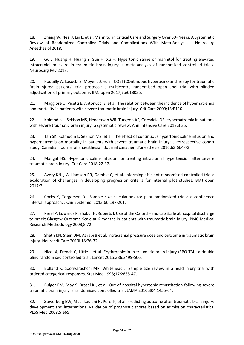18. Zhang W, Neal J, Lin L, et al. Mannitol in Critical Care and Surgery Over 50+ Years: A Systematic Review of Randomized Controlled Trials and Complications With Meta-Analysis. J Neurosurg Anesthesiol 2018.

19. Gu J, Huang H, Huang Y, Sun H, Xu H. Hypertonic saline or mannitol for treating elevated intracranial pressure in traumatic brain injury: a meta-analysis of randomized controlled trials. Neurosurg Rev 2018.

20. Roquilly A, Lasocki S, Moyer JD, et al. COBI (COntinuous hyperosmolar therapy for traumatic Brain-Injured patients) trial protocol: a multicentre randomised open-label trial with blinded adjudication of primary outcome. BMJ open 2017;7:e018035.

21. Maggiore U, Picetti E, Antonucci E, et al. The relation between the incidence of hypernatremia and mortality in patients with severe traumatic brain injury. Crit Care 2009;13:R110.

22. Kolmodin L, Sekhon MS, Henderson WR, Turgeon AF, Griesdale DE. Hypernatremia in patients with severe traumatic brain injury: a systematic review. Ann Intensive Care 2013;3:35.

23. Tan SK, Kolmodin L, Sekhon MS, et al. The effect of continuous hypertonic saline infusion and hypernatremia on mortality in patients with severe traumatic brain injury: a retrospective cohort study. Canadian journal of anaesthesia = Journal canadien d'anesthesie 2016;63:664-73.

24. Mangat HS. Hypertonic saline infusion for treating intracranial hypertension after severe traumatic brain injury. Crit Care 2018;22:37.

25. Avery KNL, Williamson PR, Gamble C, et al. Informing efficient randomised controlled trials: exploration of challenges in developing progression criteria for internal pilot studies. BMJ open 2017;7.

26. Cocks K, Torgerson DJ. Sample size calculations for pilot randomized trials: a confidence interval approach. J Clin Epidemiol 2013;66:197-201.

27. Perel P, Edwards P, Shakur H, Roberts I. Use of the Oxford Handicap Scale at hospital discharge to predit Glasgow Outcome Scale at 6 months in patients with traumatic brain injury. BMC Medical Research Methodology 2008;8:72.

28. Sheth KN, Stein DM, Aarabi B et al. Intracranial pressure dose and outcome in traumatic brain injury. Neurocrit Care 2013l 18:26-32.

29. Nicol A, French C, Little L et al. Erythropoietin in traumatic brain injury (EPO-TBI): a double blind randomised controlled trial. Lancet 2015;386:2499-506.

30. Bolland K, Sooriyarachchi MR, Whitehead J. Sample size review in a head injury trial with ordered categorical responses. Stat Med 1998;17:2835-47.

31. Bulger EM, May S, Brasel KJ, et al. Out-of-hospital hypertonic resuscitation following severe traumatic brain injury: a randomised controlled trial. JAMA 2010;304:1455-64.

32. Steyerberg EW, Mushkudiani N, Perel P, et al. Predicting outcome after traumatic brain injury: development and international validation of prognostic scores based on admission characteristics. PLoS Med 2008;5:e65.